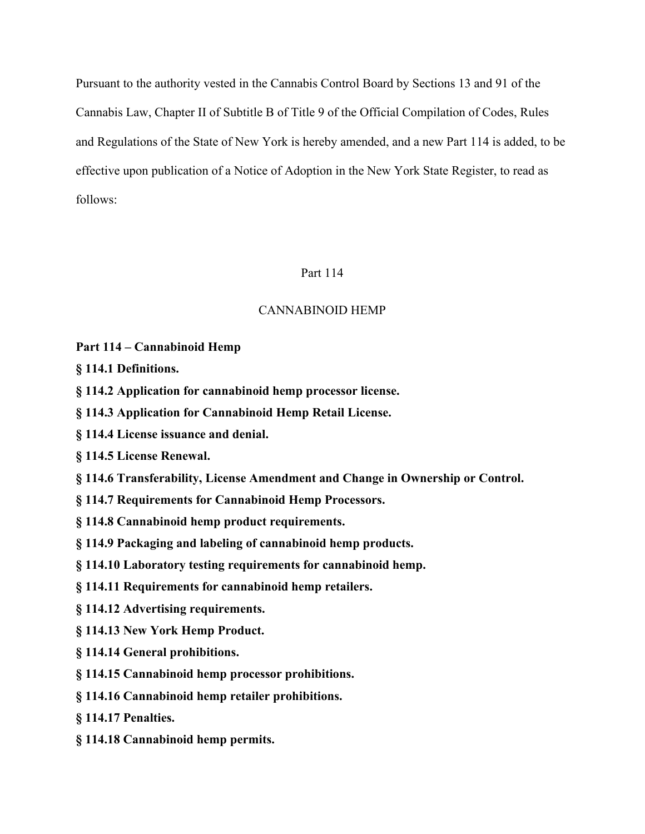Pursuant to the authority vested in the Cannabis Control Board by Sections 13 and 91 of the Cannabis Law, Chapter II of Subtitle B of Title 9 of the Official Compilation of Codes, Rules and Regulations of the State of New York is hereby amended, and a new Part 114 is added, to be effective upon publication of a Notice of Adoption in the New York State Register, to read as follows:

## Part 114

## CANNABINOID HEMP

**Part 114 – Cannabinoid Hemp** 

**§ 114.1 Definitions.**

- **§ 114.2 Application for cannabinoid hemp processor license.**
- **§ 114.3 Application for Cannabinoid Hemp Retail License.**
- **§ 114.4 License issuance and denial.**

**§ 114.5 License Renewal.**

- **§ 114.6 Transferability, License Amendment and Change in Ownership or Control.**
- **§ 114.7 Requirements for Cannabinoid Hemp Processors.**
- **§ 114.8 Cannabinoid hemp product requirements.**
- **§ 114.9 Packaging and labeling of cannabinoid hemp products.**
- **§ 114.10 Laboratory testing requirements for cannabinoid hemp.**
- **§ 114.11 Requirements for cannabinoid hemp retailers.**
- **§ 114.12 Advertising requirements.**
- **§ 114.13 New York Hemp Product.**
- **§ 114.14 General prohibitions.**
- **§ 114.15 Cannabinoid hemp processor prohibitions.**
- **§ 114.16 Cannabinoid hemp retailer prohibitions.**
- **§ 114.17 Penalties.**
- **§ 114.18 Cannabinoid hemp permits.**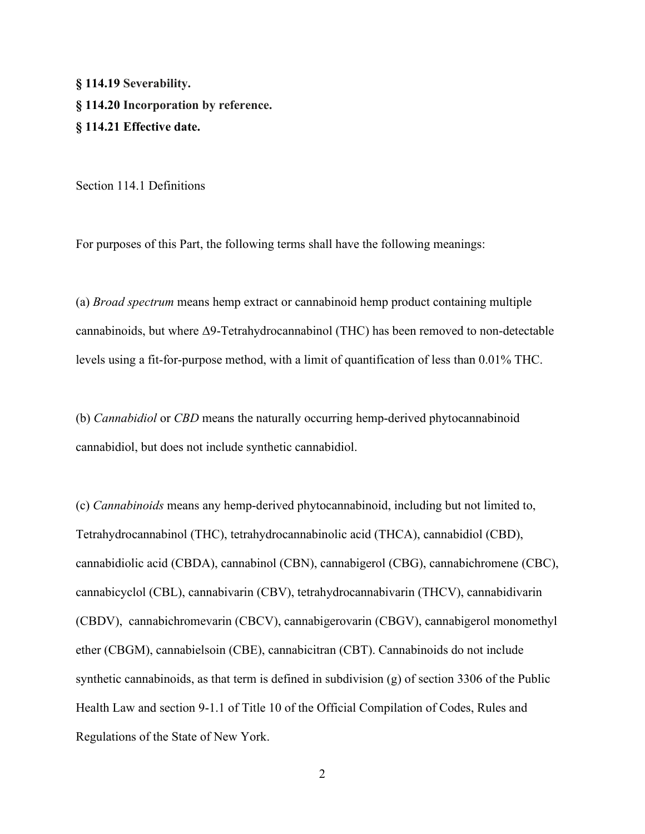**§ 114.19 Severability. § 114.20 Incorporation by reference. § 114.21 Effective date.**

Section 114.1 Definitions

For purposes of this Part, the following terms shall have the following meanings:

(a) *Broad spectrum* means hemp extract or cannabinoid hemp product containing multiple cannabinoids, but where Δ9-Tetrahydrocannabinol (THC) has been removed to non-detectable levels using a fit-for-purpose method, with a limit of quantification of less than 0.01% THC.

(b) *Cannabidiol* or *CBD* means the naturally occurring hemp-derived phytocannabinoid cannabidiol, but does not include synthetic cannabidiol.

(c) *Cannabinoids* means any hemp-derived phytocannabinoid, including but not limited to, Tetrahydrocannabinol (THC), tetrahydrocannabinolic acid (THCA), cannabidiol (CBD), cannabidiolic acid (CBDA), cannabinol (CBN), cannabigerol (CBG), cannabichromene (CBC), cannabicyclol (CBL), cannabivarin (CBV), tetrahydrocannabivarin (THCV), cannabidivarin (CBDV), cannabichromevarin (CBCV), cannabigerovarin (CBGV), cannabigerol monomethyl ether (CBGM), cannabielsoin (CBE), cannabicitran (CBT). Cannabinoids do not include synthetic cannabinoids, as that term is defined in subdivision (g) of section 3306 of the Public Health Law and section 9-1.1 of Title 10 of the Official Compilation of Codes, Rules and Regulations of the State of New York.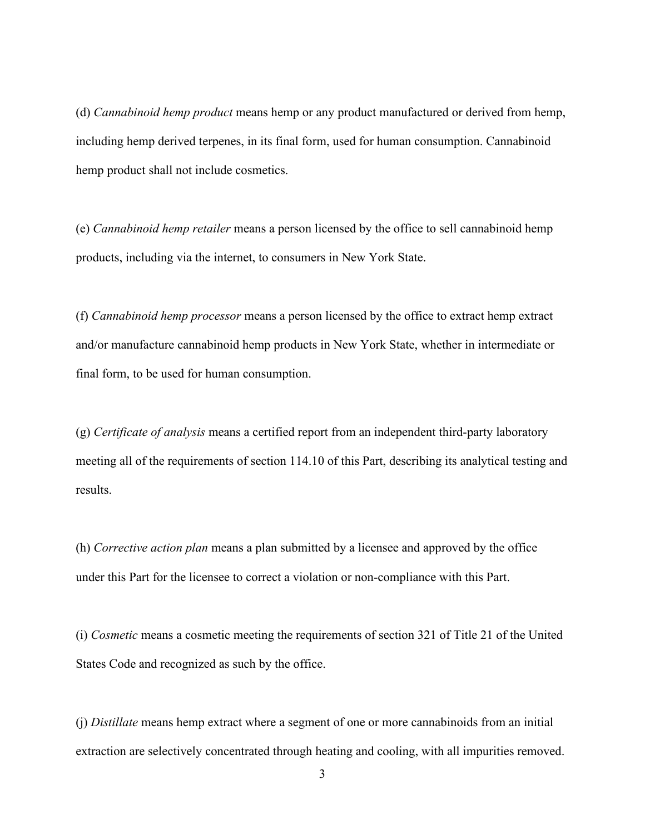(d) *Cannabinoid hemp product* means hemp or any product manufactured or derived from hemp, including hemp derived terpenes, in its final form, used for human consumption. Cannabinoid hemp product shall not include cosmetics.

(e) *Cannabinoid hemp retailer* means a person licensed by the office to sell cannabinoid hemp products, including via the internet, to consumers in New York State.

(f) *Cannabinoid hemp processor* means a person licensed by the office to extract hemp extract and/or manufacture cannabinoid hemp products in New York State, whether in intermediate or final form, to be used for human consumption.

(g) *Certificate of analysis* means a certified report from an independent third-party laboratory meeting all of the requirements of section 114.10 of this Part, describing its analytical testing and results.

(h) *Corrective action plan* means a plan submitted by a licensee and approved by the office under this Part for the licensee to correct a violation or non-compliance with this Part.

(i) *Cosmetic* means a cosmetic meeting the requirements of section 321 of Title 21 of the United States Code and recognized as such by the office.

(j) *Distillate* means hemp extract where a segment of one or more cannabinoids from an initial extraction are selectively concentrated through heating and cooling, with all impurities removed.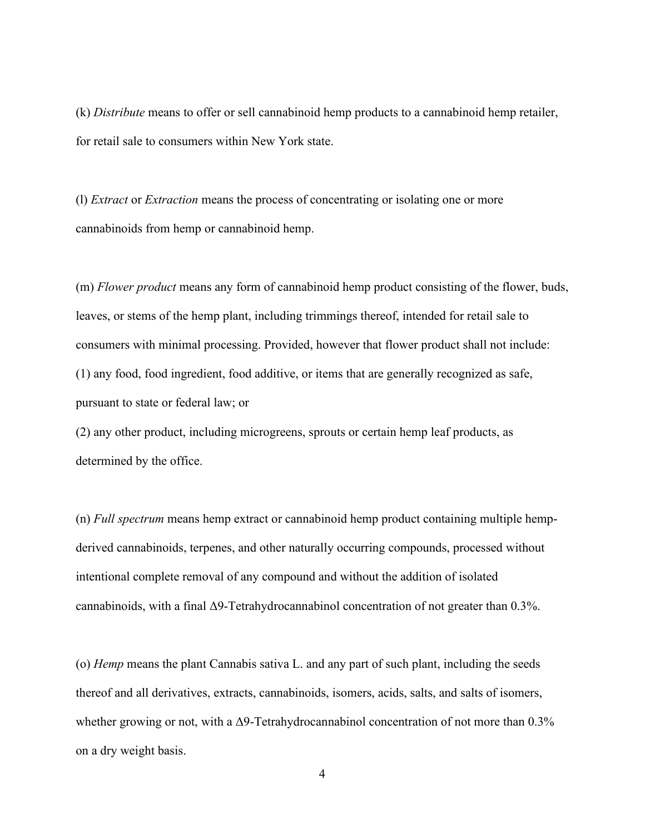(k) *Distribute* means to offer or sell cannabinoid hemp products to a cannabinoid hemp retailer, for retail sale to consumers within New York state.

(l) *Extract* or *Extraction* means the process of concentrating or isolating one or more cannabinoids from hemp or cannabinoid hemp.

(m) *Flower product* means any form of cannabinoid hemp product consisting of the flower, buds, leaves, or stems of the hemp plant, including trimmings thereof, intended for retail sale to consumers with minimal processing. Provided, however that flower product shall not include: (1) any food, food ingredient, food additive, or items that are generally recognized as safe, pursuant to state or federal law; or

(2) any other product, including microgreens, sprouts or certain hemp leaf products, as determined by the office.

(n) *Full spectrum* means hemp extract or cannabinoid hemp product containing multiple hempderived cannabinoids, terpenes, and other naturally occurring compounds, processed without intentional complete removal of any compound and without the addition of isolated cannabinoids, with a final Δ9-Tetrahydrocannabinol concentration of not greater than 0.3%.

(o) *Hemp* means the plant Cannabis sativa L. and any part of such plant, including the seeds thereof and all derivatives, extracts, cannabinoids, isomers, acids, salts, and salts of isomers, whether growing or not, with a  $\Delta$ 9-Tetrahydrocannabinol concentration of not more than 0.3% on a dry weight basis.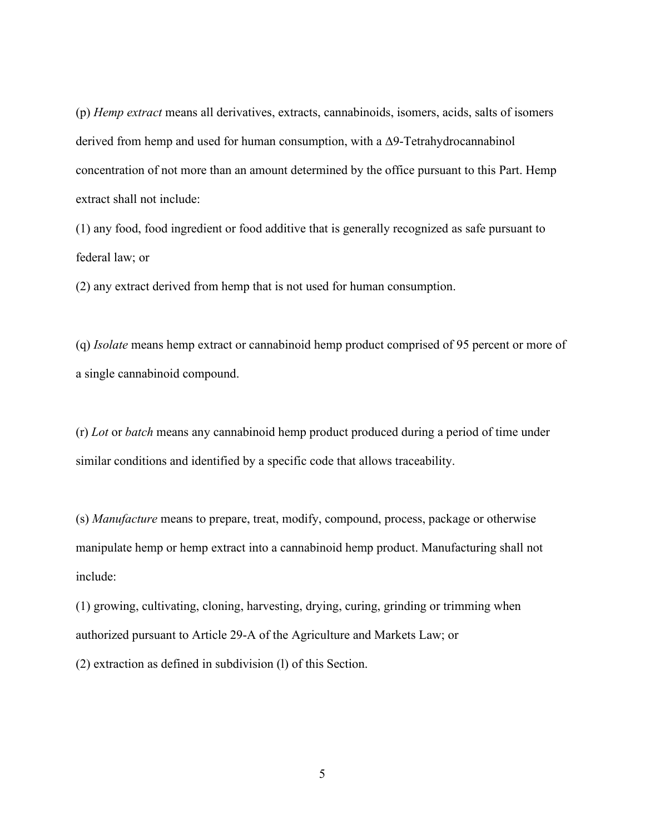(p) *Hemp extract* means all derivatives, extracts, cannabinoids, isomers, acids, salts of isomers derived from hemp and used for human consumption, with a Δ9-Tetrahydrocannabinol concentration of not more than an amount determined by the office pursuant to this Part. Hemp extract shall not include:

(1) any food, food ingredient or food additive that is generally recognized as safe pursuant to federal law; or

(2) any extract derived from hemp that is not used for human consumption.

(q) *Isolate* means hemp extract or cannabinoid hemp product comprised of 95 percent or more of a single cannabinoid compound.

(r) *Lot* or *batch* means any cannabinoid hemp product produced during a period of time under similar conditions and identified by a specific code that allows traceability.

(s) *Manufacture* means to prepare, treat, modify, compound, process, package or otherwise manipulate hemp or hemp extract into a cannabinoid hemp product. Manufacturing shall not include:

(1) growing, cultivating, cloning, harvesting, drying, curing, grinding or trimming when authorized pursuant to Article 29-A of the Agriculture and Markets Law; or (2) extraction as defined in subdivision (l) of this Section.

5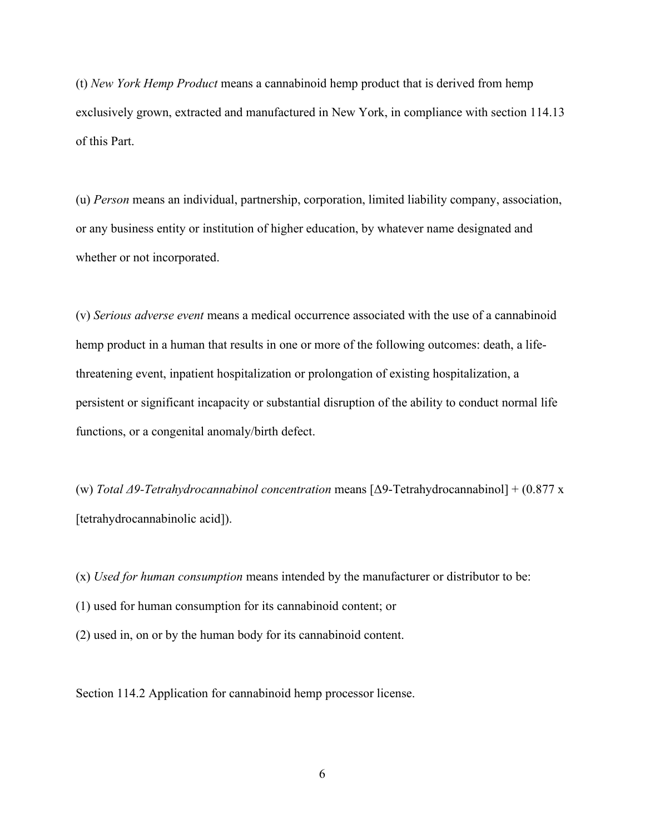(t) *New York Hemp Product* means a cannabinoid hemp product that is derived from hemp exclusively grown, extracted and manufactured in New York, in compliance with section 114.13 of this Part.

(u) *Person* means an individual, partnership, corporation, limited liability company, association, or any business entity or institution of higher education, by whatever name designated and whether or not incorporated.

(v) *Serious adverse event* means a medical occurrence associated with the use of a cannabinoid hemp product in a human that results in one or more of the following outcomes: death, a lifethreatening event, inpatient hospitalization or prolongation of existing hospitalization, a persistent or significant incapacity or substantial disruption of the ability to conduct normal life functions, or a congenital anomaly/birth defect.

(w) *Total Δ9-Tetrahydrocannabinol concentration* means [Δ9-Tetrahydrocannabinol] + (0.877 x [tetrahydrocannabinolic acid]).

(x) *Used for human consumption* means intended by the manufacturer or distributor to be:

(1) used for human consumption for its cannabinoid content; or

(2) used in, on or by the human body for its cannabinoid content.

Section 114.2 Application for cannabinoid hemp processor license.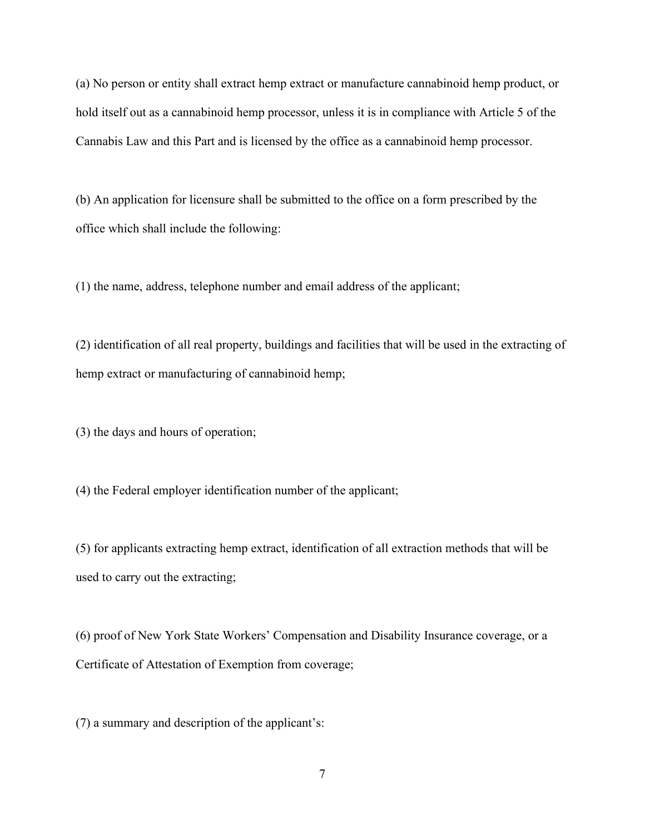(a) No person or entity shall extract hemp extract or manufacture cannabinoid hemp product, or hold itself out as a cannabinoid hemp processor, unless it is in compliance with Article 5 of the Cannabis Law and this Part and is licensed by the office as a cannabinoid hemp processor.

(b) An application for licensure shall be submitted to the office on a form prescribed by the office which shall include the following:

(1) the name, address, telephone number and email address of the applicant;

(2) identification of all real property, buildings and facilities that will be used in the extracting of hemp extract or manufacturing of cannabinoid hemp;

(3) the days and hours of operation;

(4) the Federal employer identification number of the applicant;

(5) for applicants extracting hemp extract, identification of all extraction methods that will be used to carry out the extracting;

(6) proof of New York State Workers' Compensation and Disability Insurance coverage, or a Certificate of Attestation of Exemption from coverage;

(7) a summary and description of the applicant's: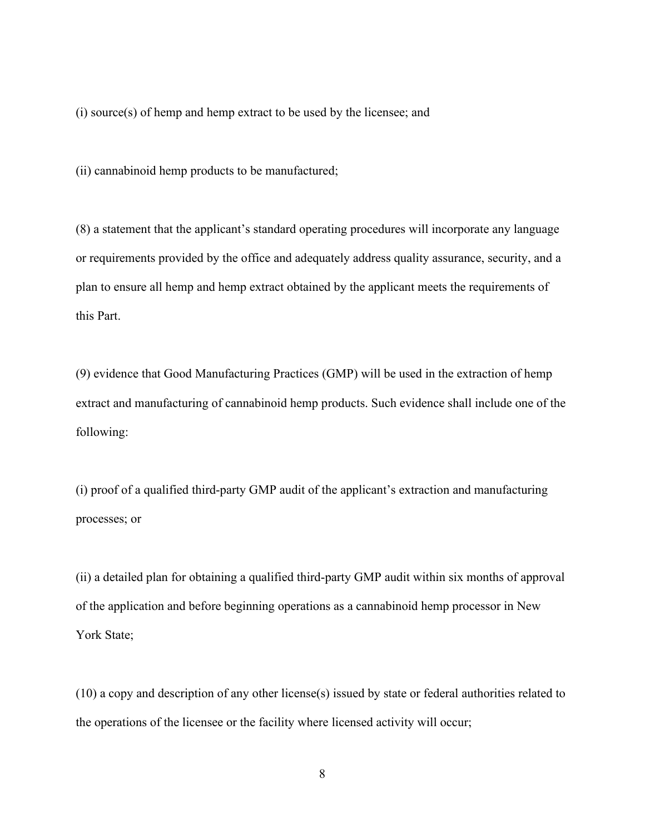(i) source(s) of hemp and hemp extract to be used by the licensee; and

(ii) cannabinoid hemp products to be manufactured;

(8) a statement that the applicant's standard operating procedures will incorporate any language or requirements provided by the office and adequately address quality assurance, security, and a plan to ensure all hemp and hemp extract obtained by the applicant meets the requirements of this Part.

(9) evidence that Good Manufacturing Practices (GMP) will be used in the extraction of hemp extract and manufacturing of cannabinoid hemp products. Such evidence shall include one of the following:

(i) proof of a qualified third-party GMP audit of the applicant's extraction and manufacturing processes; or

(ii) a detailed plan for obtaining a qualified third-party GMP audit within six months of approval of the application and before beginning operations as a cannabinoid hemp processor in New York State;

(10) a copy and description of any other license(s) issued by state or federal authorities related to the operations of the licensee or the facility where licensed activity will occur;

8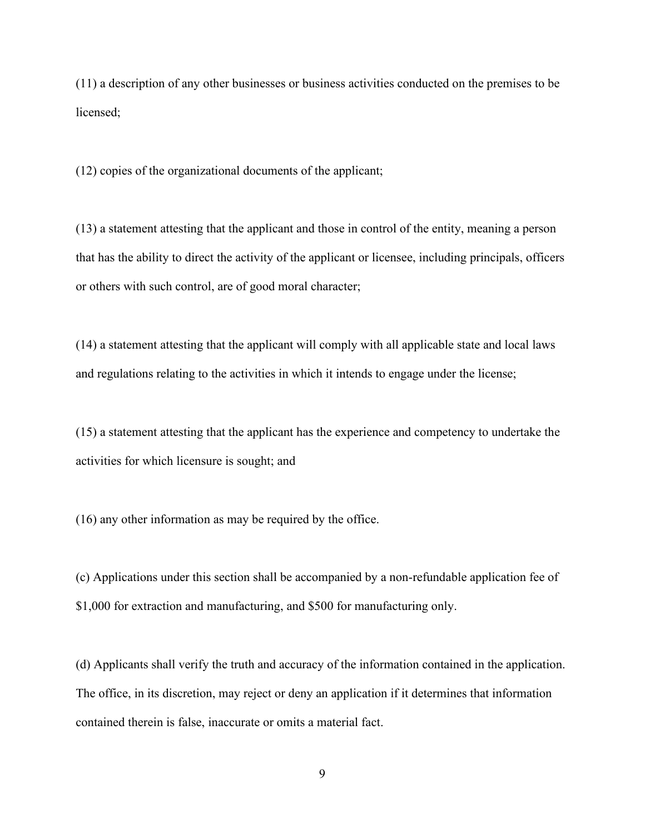(11) a description of any other businesses or business activities conducted on the premises to be licensed;

(12) copies of the organizational documents of the applicant;

(13) a statement attesting that the applicant and those in control of the entity, meaning a person that has the ability to direct the activity of the applicant or licensee, including principals, officers or others with such control, are of good moral character;

(14) a statement attesting that the applicant will comply with all applicable state and local laws and regulations relating to the activities in which it intends to engage under the license;

(15) a statement attesting that the applicant has the experience and competency to undertake the activities for which licensure is sought; and

(16) any other information as may be required by the office.

(c) Applications under this section shall be accompanied by a non-refundable application fee of \$1,000 for extraction and manufacturing, and \$500 for manufacturing only.

(d) Applicants shall verify the truth and accuracy of the information contained in the application. The office, in its discretion, may reject or deny an application if it determines that information contained therein is false, inaccurate or omits a material fact.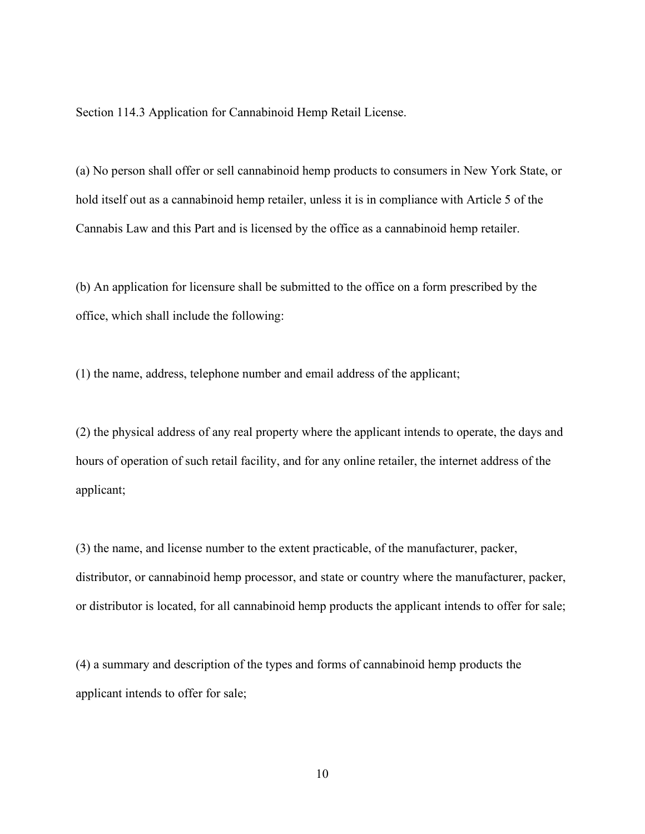Section 114.3 Application for Cannabinoid Hemp Retail License.

(a) No person shall offer or sell cannabinoid hemp products to consumers in New York State, or hold itself out as a cannabinoid hemp retailer, unless it is in compliance with Article 5 of the Cannabis Law and this Part and is licensed by the office as a cannabinoid hemp retailer.

(b) An application for licensure shall be submitted to the office on a form prescribed by the office, which shall include the following:

(1) the name, address, telephone number and email address of the applicant;

(2) the physical address of any real property where the applicant intends to operate, the days and hours of operation of such retail facility, and for any online retailer, the internet address of the applicant;

(3) the name, and license number to the extent practicable, of the manufacturer, packer, distributor, or cannabinoid hemp processor, and state or country where the manufacturer, packer, or distributor is located, for all cannabinoid hemp products the applicant intends to offer for sale;

(4) a summary and description of the types and forms of cannabinoid hemp products the applicant intends to offer for sale;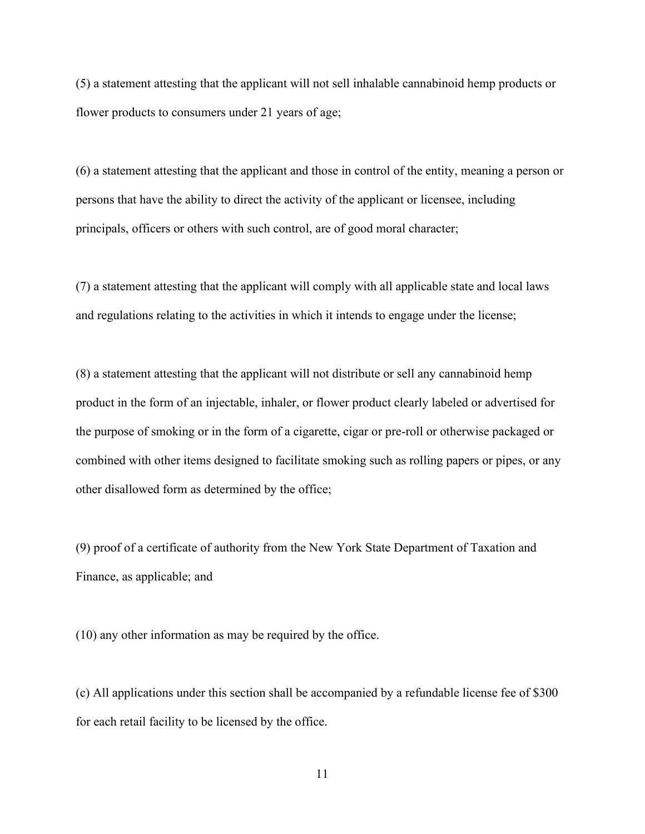(5) a statement attesting that the applicant will not sell inhalable cannabinoid hemp products or flower products to consumers under 21 years of age;

(6) a statement attesting that the applicant and those in control of the entity, meaning a person or persons that have the ability to direct the activity of the applicant or licensee, including principals, officers or others with such control, are of good moral character;

(7) a statement attesting that the applicant will comply with all applicable state and local laws and regulations relating to the activities in which it intends to engage under the license;

(8) a statement attesting that the applicant will not distribute or sell any cannabinoid hemp product in the form of an injectable, inhaler, or flower product clearly labeled or advertised for the purpose of smoking or in the form of a cigarette, cigar or pre-roll or otherwise packaged or combined with other items designed to facilitate smoking such as rolling papers or pipes, or any other disallowed form as determined by the office;

(9) proof of a certificate of authority from the New York State Department of Taxation and Finance, as applicable; and

(10) any other information as may be required by the office.

(c) All applications under this section shall be accompanied by a refundable license fee of \$300 for each retail facility to be licensed by the office.

11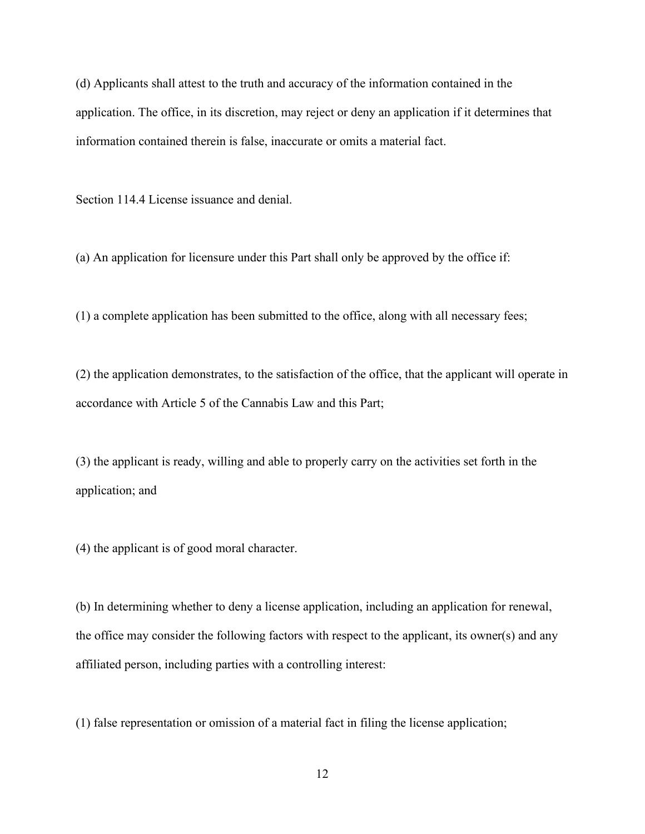(d) Applicants shall attest to the truth and accuracy of the information contained in the application. The office, in its discretion, may reject or deny an application if it determines that information contained therein is false, inaccurate or omits a material fact.

Section 114.4 License issuance and denial.

(a) An application for licensure under this Part shall only be approved by the office if:

(1) a complete application has been submitted to the office, along with all necessary fees;

(2) the application demonstrates, to the satisfaction of the office, that the applicant will operate in accordance with Article 5 of the Cannabis Law and this Part;

(3) the applicant is ready, willing and able to properly carry on the activities set forth in the application; and

(4) the applicant is of good moral character.

(b) In determining whether to deny a license application, including an application for renewal, the office may consider the following factors with respect to the applicant, its owner(s) and any affiliated person, including parties with a controlling interest:

(1) false representation or omission of a material fact in filing the license application;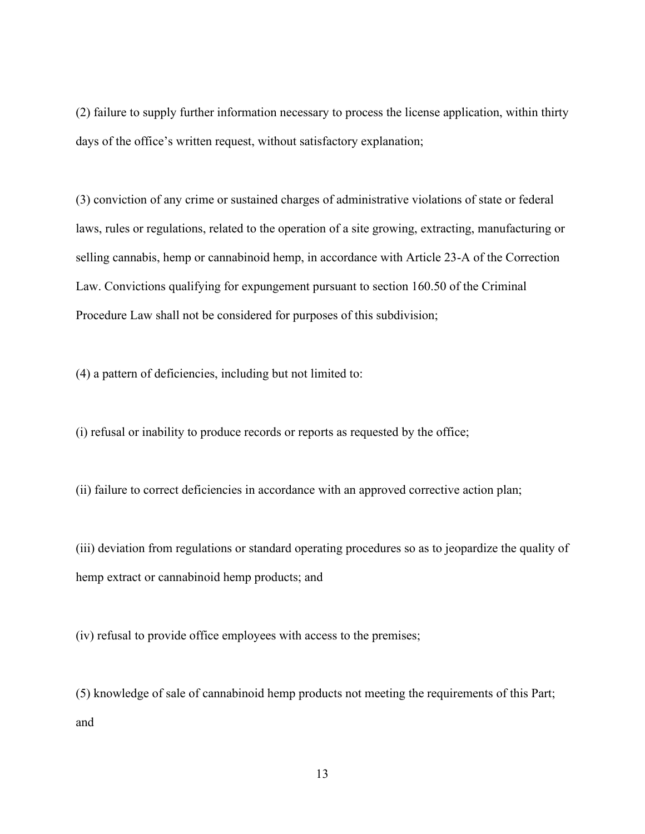(2) failure to supply further information necessary to process the license application, within thirty days of the office's written request, without satisfactory explanation;

(3) conviction of any crime or sustained charges of administrative violations of state or federal laws, rules or regulations, related to the operation of a site growing, extracting, manufacturing or selling cannabis, hemp or cannabinoid hemp, in accordance with Article 23-A of the Correction Law. Convictions qualifying for expungement pursuant to section 160.50 of the Criminal Procedure Law shall not be considered for purposes of this subdivision;

(4) a pattern of deficiencies, including but not limited to:

(i) refusal or inability to produce records or reports as requested by the office;

(ii) failure to correct deficiencies in accordance with an approved corrective action plan;

(iii) deviation from regulations or standard operating procedures so as to jeopardize the quality of hemp extract or cannabinoid hemp products; and

(iv) refusal to provide office employees with access to the premises;

(5) knowledge of sale of cannabinoid hemp products not meeting the requirements of this Part; and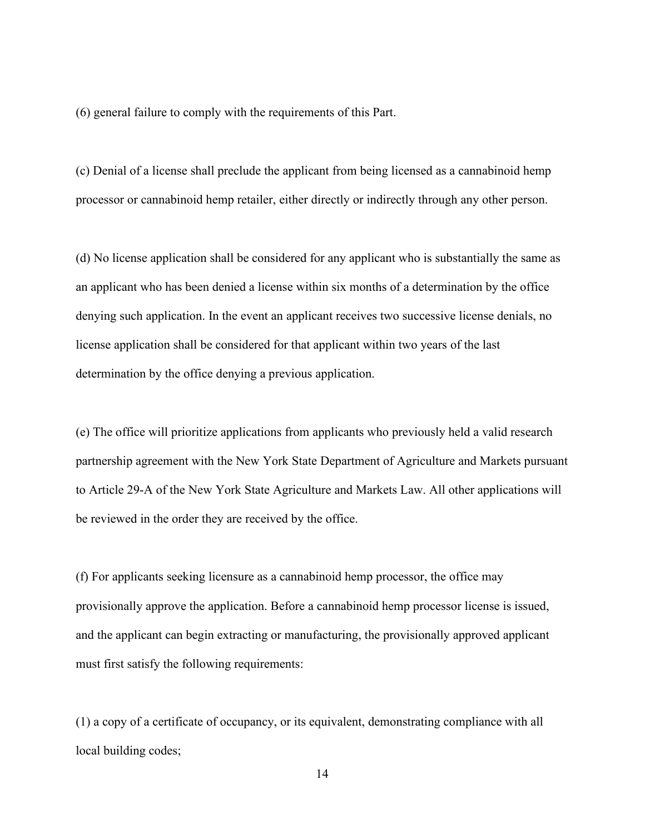(6) general failure to comply with the requirements of this Part.

(c) Denial of a license shall preclude the applicant from being licensed as a cannabinoid hemp processor or cannabinoid hemp retailer, either directly or indirectly through any other person.

(d) No license application shall be considered for any applicant who is substantially the same as an applicant who has been denied a license within six months of a determination by the office denying such application. In the event an applicant receives two successive license denials, no license application shall be considered for that applicant within two years of the last determination by the office denying a previous application.

(e) The office will prioritize applications from applicants who previously held a valid research partnership agreement with the New York State Department of Agriculture and Markets pursuant to Article 29-A of the New York State Agriculture and Markets Law. All other applications will be reviewed in the order they are received by the office.

(f) For applicants seeking licensure as a cannabinoid hemp processor, the office may provisionally approve the application. Before a cannabinoid hemp processor license is issued, and the applicant can begin extracting or manufacturing, the provisionally approved applicant must first satisfy the following requirements:

(1) a copy of a certificate of occupancy, or its equivalent, demonstrating compliance with all local building codes;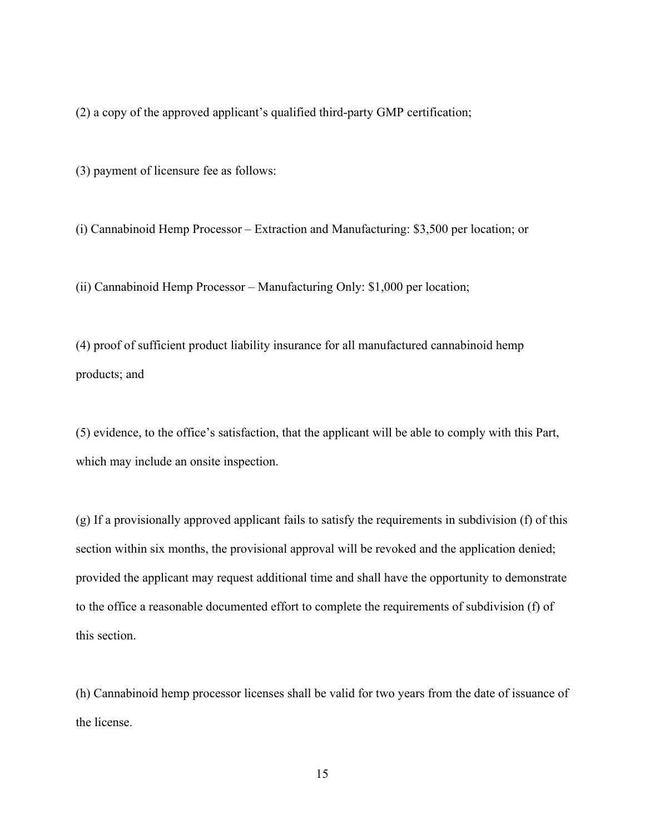(2) a copy of the approved applicant's qualified third-party GMP certification;

(3) payment of licensure fee as follows:

(i) Cannabinoid Hemp Processor – Extraction and Manufacturing: \$3,500 per location; or

(ii) Cannabinoid Hemp Processor – Manufacturing Only: \$1,000 per location;

(4) proof of sufficient product liability insurance for all manufactured cannabinoid hemp products; and

(5) evidence, to the office's satisfaction, that the applicant will be able to comply with this Part, which may include an onsite inspection.

(g) If a provisionally approved applicant fails to satisfy the requirements in subdivision (f) of this section within six months, the provisional approval will be revoked and the application denied; provided the applicant may request additional time and shall have the opportunity to demonstrate to the office a reasonable documented effort to complete the requirements of subdivision (f) of this section.

(h) Cannabinoid hemp processor licenses shall be valid for two years from the date of issuance of the license.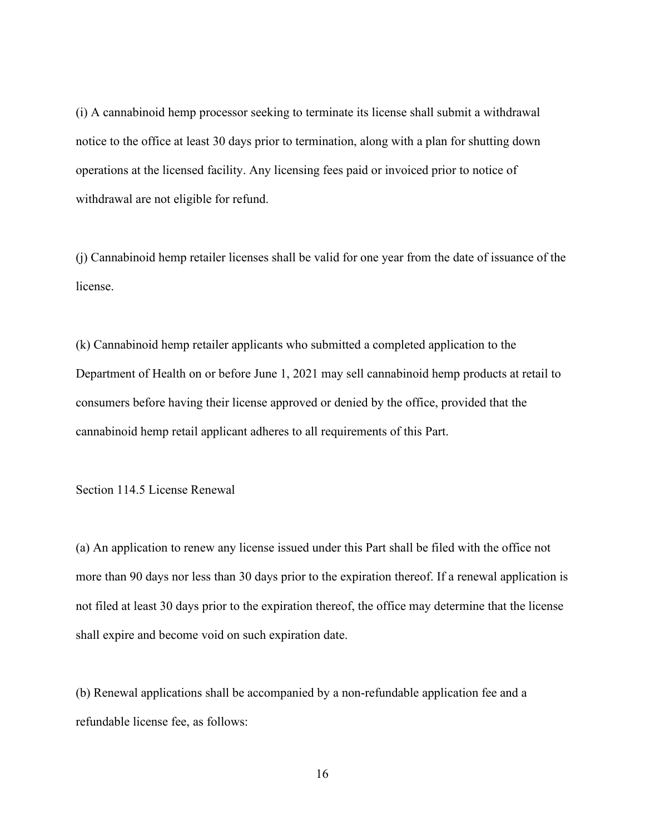(i) A cannabinoid hemp processor seeking to terminate its license shall submit a withdrawal notice to the office at least 30 days prior to termination, along with a plan for shutting down operations at the licensed facility. Any licensing fees paid or invoiced prior to notice of withdrawal are not eligible for refund.

(j) Cannabinoid hemp retailer licenses shall be valid for one year from the date of issuance of the license.

(k) Cannabinoid hemp retailer applicants who submitted a completed application to the Department of Health on or before June 1, 2021 may sell cannabinoid hemp products at retail to consumers before having their license approved or denied by the office, provided that the cannabinoid hemp retail applicant adheres to all requirements of this Part.

Section 114.5 License Renewal

(a) An application to renew any license issued under this Part shall be filed with the office not more than 90 days nor less than 30 days prior to the expiration thereof. If a renewal application is not filed at least 30 days prior to the expiration thereof, the office may determine that the license shall expire and become void on such expiration date.

(b) Renewal applications shall be accompanied by a non-refundable application fee and a refundable license fee, as follows: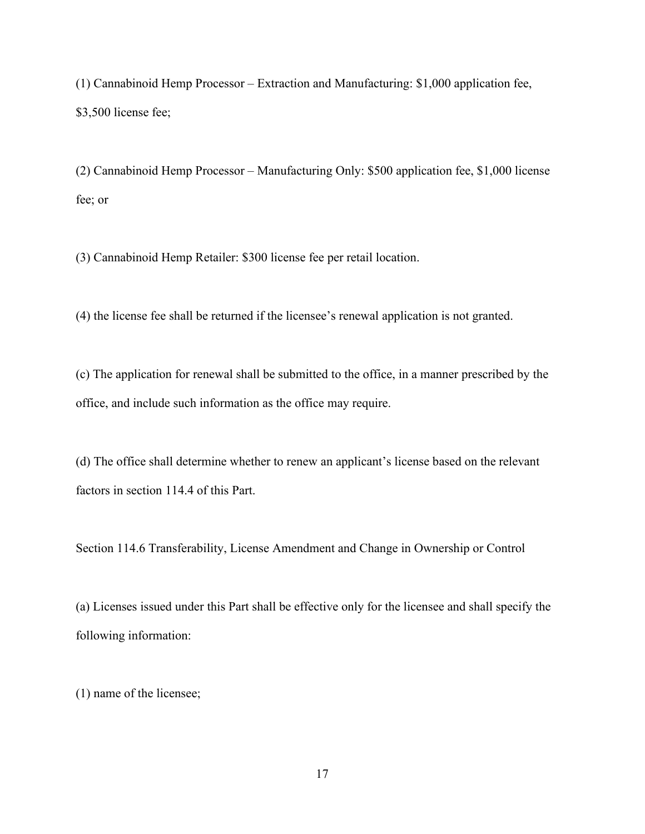(1) Cannabinoid Hemp Processor – Extraction and Manufacturing: \$1,000 application fee, \$3,500 license fee;

(2) Cannabinoid Hemp Processor – Manufacturing Only: \$500 application fee, \$1,000 license fee; or

(3) Cannabinoid Hemp Retailer: \$300 license fee per retail location.

(4) the license fee shall be returned if the licensee's renewal application is not granted.

(c) The application for renewal shall be submitted to the office, in a manner prescribed by the office, and include such information as the office may require.

(d) The office shall determine whether to renew an applicant's license based on the relevant factors in section 114.4 of this Part.

Section 114.6 Transferability, License Amendment and Change in Ownership or Control

(a) Licenses issued under this Part shall be effective only for the licensee and shall specify the following information:

(1) name of the licensee;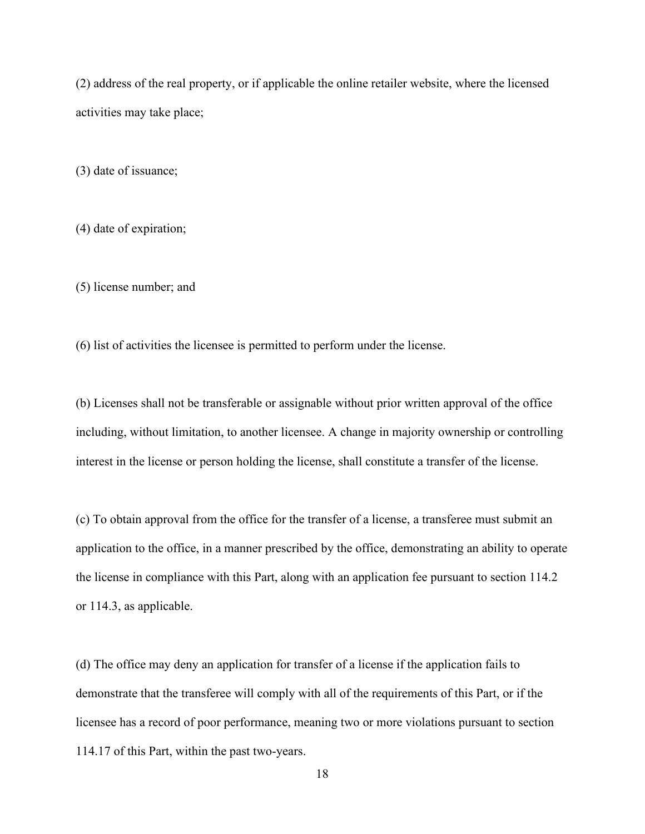(2) address of the real property, or if applicable the online retailer website, where the licensed activities may take place;

(3) date of issuance;

(4) date of expiration;

(5) license number; and

(6) list of activities the licensee is permitted to perform under the license.

(b) Licenses shall not be transferable or assignable without prior written approval of the office including, without limitation, to another licensee. A change in majority ownership or controlling interest in the license or person holding the license, shall constitute a transfer of the license.

(c) To obtain approval from the office for the transfer of a license, a transferee must submit an application to the office, in a manner prescribed by the office, demonstrating an ability to operate the license in compliance with this Part, along with an application fee pursuant to section 114.2 or 114.3, as applicable.

(d) The office may deny an application for transfer of a license if the application fails to demonstrate that the transferee will comply with all of the requirements of this Part, or if the licensee has a record of poor performance, meaning two or more violations pursuant to section 114.17 of this Part, within the past two-years.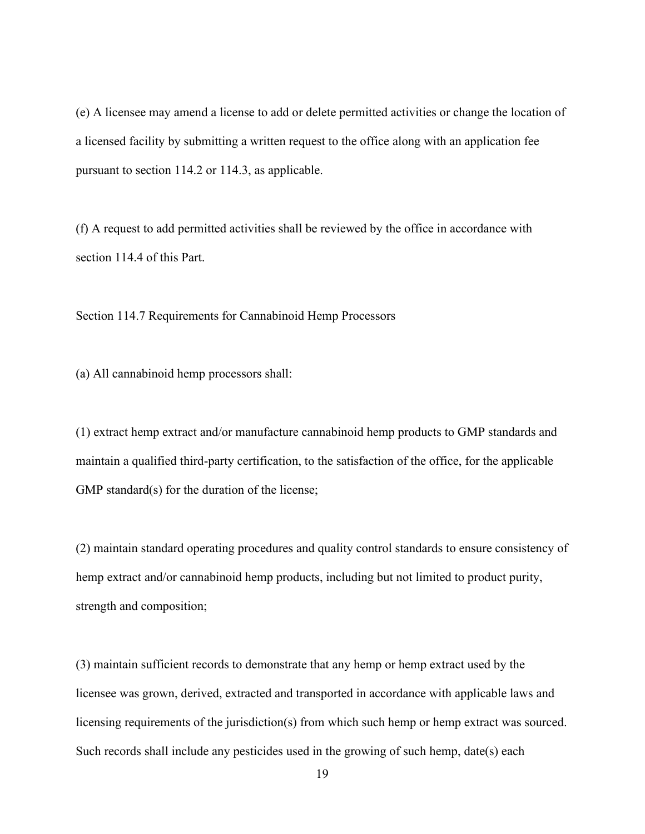(e) A licensee may amend a license to add or delete permitted activities or change the location of a licensed facility by submitting a written request to the office along with an application fee pursuant to section 114.2 or 114.3, as applicable.

(f) A request to add permitted activities shall be reviewed by the office in accordance with section 114.4 of this Part.

Section 114.7 Requirements for Cannabinoid Hemp Processors

(a) All cannabinoid hemp processors shall:

(1) extract hemp extract and/or manufacture cannabinoid hemp products to GMP standards and maintain a qualified third-party certification, to the satisfaction of the office, for the applicable GMP standard(s) for the duration of the license;

(2) maintain standard operating procedures and quality control standards to ensure consistency of hemp extract and/or cannabinoid hemp products, including but not limited to product purity, strength and composition;

(3) maintain sufficient records to demonstrate that any hemp or hemp extract used by the licensee was grown, derived, extracted and transported in accordance with applicable laws and licensing requirements of the jurisdiction(s) from which such hemp or hemp extract was sourced. Such records shall include any pesticides used in the growing of such hemp, date(s) each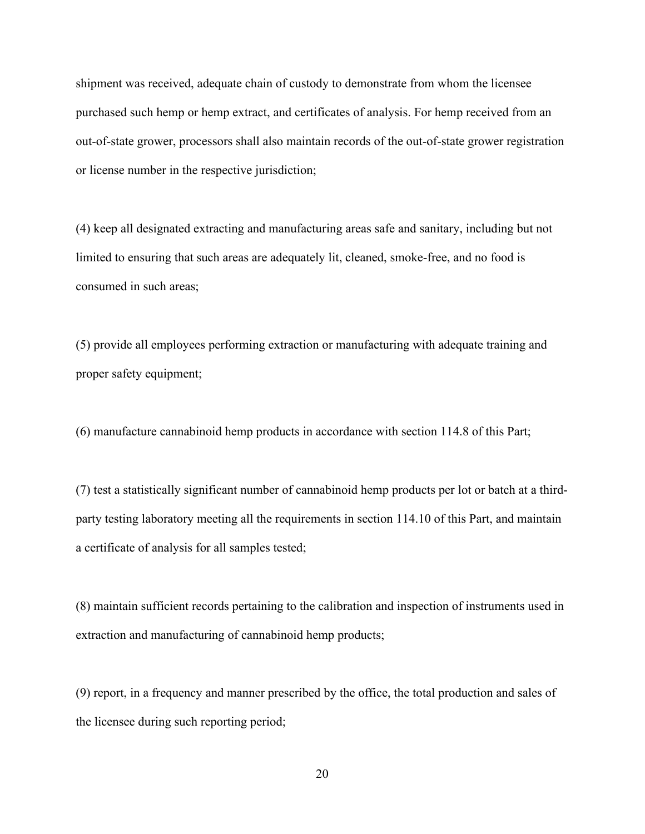shipment was received, adequate chain of custody to demonstrate from whom the licensee purchased such hemp or hemp extract, and certificates of analysis. For hemp received from an out-of-state grower, processors shall also maintain records of the out-of-state grower registration or license number in the respective jurisdiction;

(4) keep all designated extracting and manufacturing areas safe and sanitary, including but not limited to ensuring that such areas are adequately lit, cleaned, smoke-free, and no food is consumed in such areas;

(5) provide all employees performing extraction or manufacturing with adequate training and proper safety equipment;

(6) manufacture cannabinoid hemp products in accordance with section 114.8 of this Part;

(7) test a statistically significant number of cannabinoid hemp products per lot or batch at a thirdparty testing laboratory meeting all the requirements in section 114.10 of this Part, and maintain a certificate of analysis for all samples tested;

(8) maintain sufficient records pertaining to the calibration and inspection of instruments used in extraction and manufacturing of cannabinoid hemp products;

(9) report, in a frequency and manner prescribed by the office, the total production and sales of the licensee during such reporting period;

20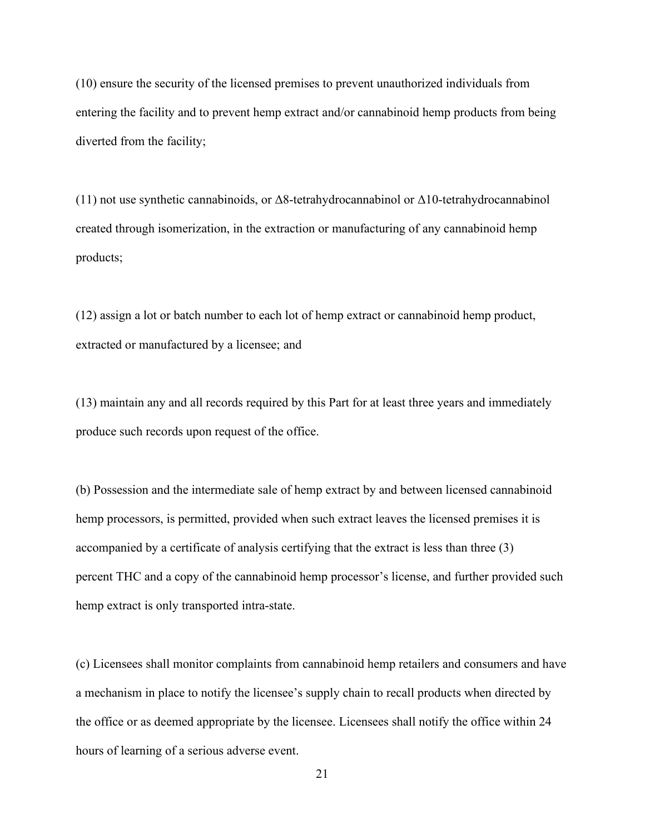(10) ensure the security of the licensed premises to prevent unauthorized individuals from entering the facility and to prevent hemp extract and/or cannabinoid hemp products from being diverted from the facility;

(11) not use synthetic cannabinoids, or Δ8-tetrahydrocannabinol or Δ10-tetrahydrocannabinol created through isomerization, in the extraction or manufacturing of any cannabinoid hemp products;

(12) assign a lot or batch number to each lot of hemp extract or cannabinoid hemp product, extracted or manufactured by a licensee; and

(13) maintain any and all records required by this Part for at least three years and immediately produce such records upon request of the office.

(b) Possession and the intermediate sale of hemp extract by and between licensed cannabinoid hemp processors, is permitted, provided when such extract leaves the licensed premises it is accompanied by a certificate of analysis certifying that the extract is less than three (3) percent THC and a copy of the cannabinoid hemp processor's license, and further provided such hemp extract is only transported intra-state.

(c) Licensees shall monitor complaints from cannabinoid hemp retailers and consumers and have a mechanism in place to notify the licensee's supply chain to recall products when directed by the office or as deemed appropriate by the licensee. Licensees shall notify the office within 24 hours of learning of a serious adverse event.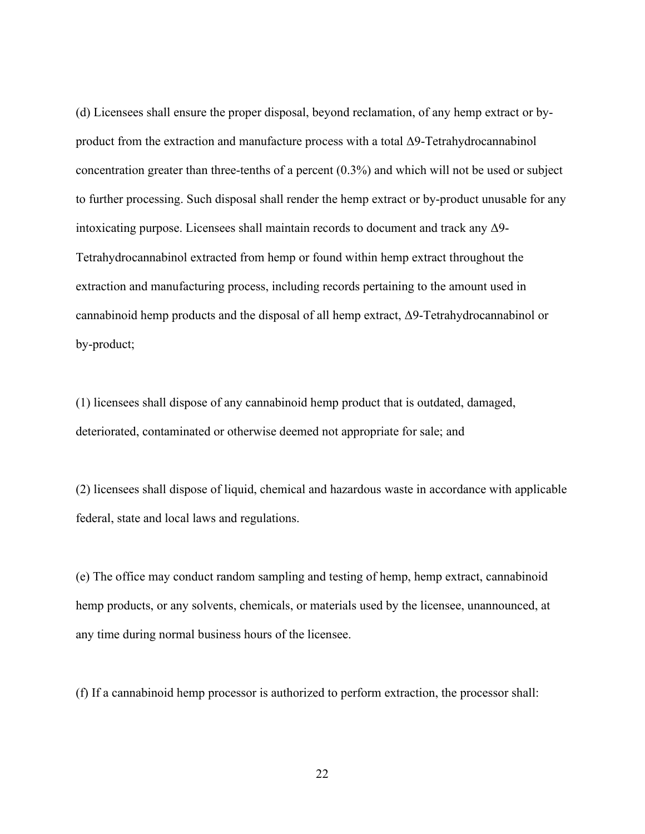(d) Licensees shall ensure the proper disposal, beyond reclamation, of any hemp extract or byproduct from the extraction and manufacture process with a total Δ9-Tetrahydrocannabinol concentration greater than three-tenths of a percent (0.3%) and which will not be used or subject to further processing. Such disposal shall render the hemp extract or by-product unusable for any intoxicating purpose. Licensees shall maintain records to document and track any Δ9- Tetrahydrocannabinol extracted from hemp or found within hemp extract throughout the extraction and manufacturing process, including records pertaining to the amount used in cannabinoid hemp products and the disposal of all hemp extract, Δ9-Tetrahydrocannabinol or by-product;

(1) licensees shall dispose of any cannabinoid hemp product that is outdated, damaged, deteriorated, contaminated or otherwise deemed not appropriate for sale; and

(2) licensees shall dispose of liquid, chemical and hazardous waste in accordance with applicable federal, state and local laws and regulations.

(e) The office may conduct random sampling and testing of hemp, hemp extract, cannabinoid hemp products, or any solvents, chemicals, or materials used by the licensee, unannounced, at any time during normal business hours of the licensee.

(f) If a cannabinoid hemp processor is authorized to perform extraction, the processor shall:

22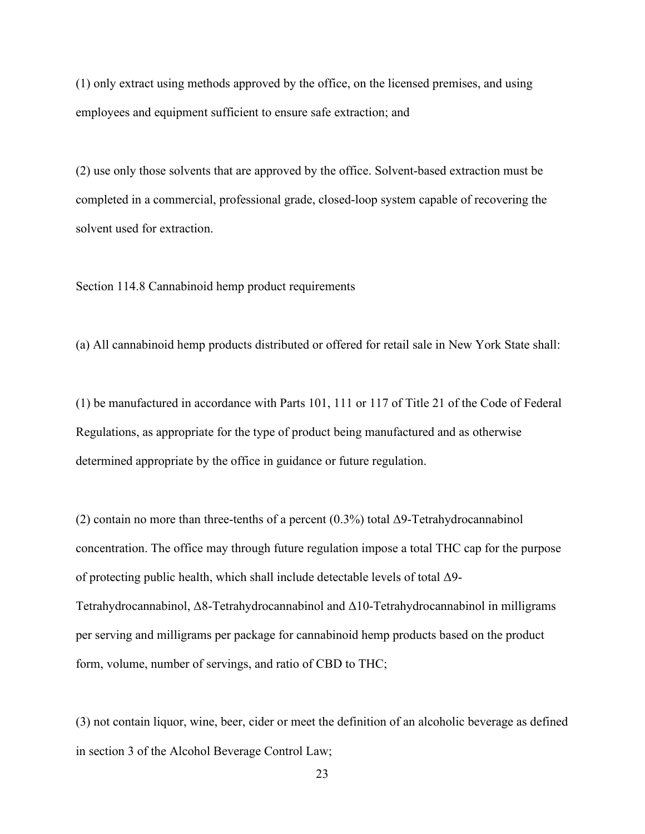(1) only extract using methods approved by the office, on the licensed premises, and using employees and equipment sufficient to ensure safe extraction; and

(2) use only those solvents that are approved by the office. Solvent-based extraction must be completed in a commercial, professional grade, closed-loop system capable of recovering the solvent used for extraction.

Section 114.8 Cannabinoid hemp product requirements

(a) All cannabinoid hemp products distributed or offered for retail sale in New York State shall:

(1) be manufactured in accordance with Parts 101, 111 or 117 of Title 21 of the Code of Federal Regulations, as appropriate for the type of product being manufactured and as otherwise determined appropriate by the office in guidance or future regulation.

(2) contain no more than three-tenths of a percent  $(0.3\%)$  total  $\Delta$ 9-Tetrahydrocannabinol concentration. The office may through future regulation impose a total THC cap for the purpose of protecting public health, which shall include detectable levels of total Δ9- Tetrahydrocannabinol, Δ8-Tetrahydrocannabinol and Δ10-Tetrahydrocannabinol in milligrams per serving and milligrams per package for cannabinoid hemp products based on the product form, volume, number of servings, and ratio of CBD to THC;

(3) not contain liquor, wine, beer, cider or meet the definition of an alcoholic beverage as defined in section 3 of the Alcohol Beverage Control Law;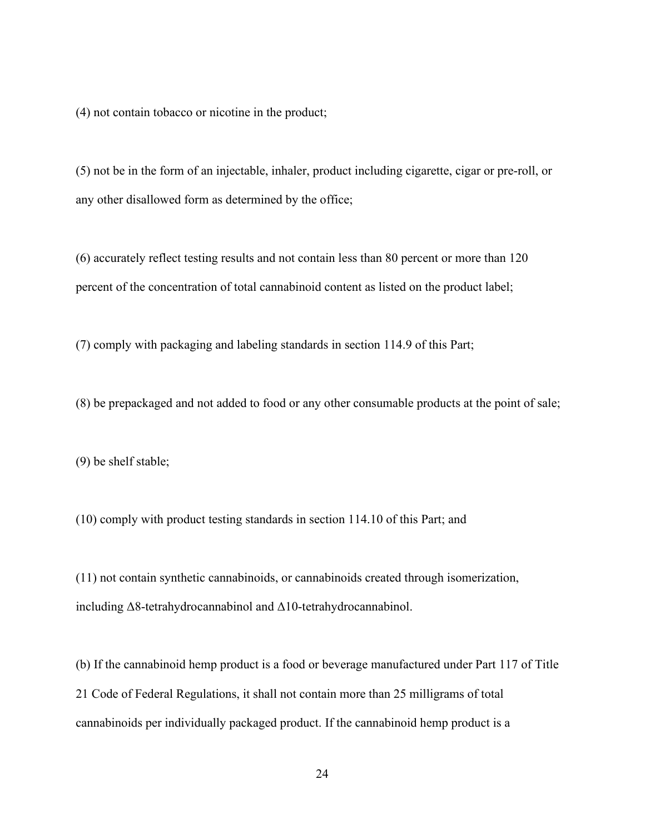(4) not contain tobacco or nicotine in the product;

(5) not be in the form of an injectable, inhaler, product including cigarette, cigar or pre-roll, or any other disallowed form as determined by the office;

(6) accurately reflect testing results and not contain less than 80 percent or more than 120 percent of the concentration of total cannabinoid content as listed on the product label;

(7) comply with packaging and labeling standards in section 114.9 of this Part;

(8) be prepackaged and not added to food or any other consumable products at the point of sale;

(9) be shelf stable;

(10) comply with product testing standards in section 114.10 of this Part; and

(11) not contain synthetic cannabinoids, or cannabinoids created through isomerization, including Δ8-tetrahydrocannabinol and Δ10-tetrahydrocannabinol.

(b) If the cannabinoid hemp product is a food or beverage manufactured under Part 117 of Title 21 Code of Federal Regulations, it shall not contain more than 25 milligrams of total cannabinoids per individually packaged product. If the cannabinoid hemp product is a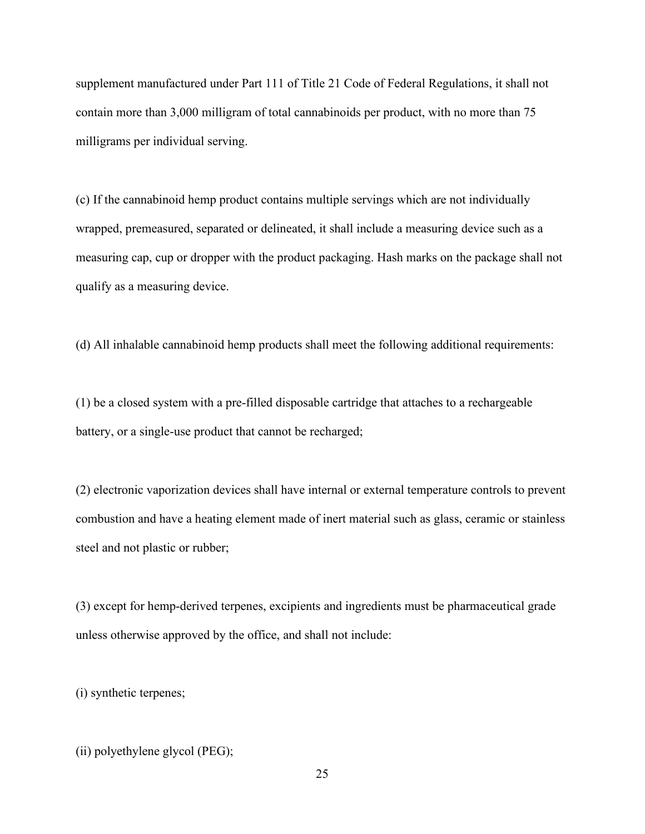supplement manufactured under Part 111 of Title 21 Code of Federal Regulations, it shall not contain more than 3,000 milligram of total cannabinoids per product, with no more than 75 milligrams per individual serving.

(c) If the cannabinoid hemp product contains multiple servings which are not individually wrapped, premeasured, separated or delineated, it shall include a measuring device such as a measuring cap, cup or dropper with the product packaging. Hash marks on the package shall not qualify as a measuring device.

(d) All inhalable cannabinoid hemp products shall meet the following additional requirements:

(1) be a closed system with a pre-filled disposable cartridge that attaches to a rechargeable battery, or a single-use product that cannot be recharged;

(2) electronic vaporization devices shall have internal or external temperature controls to prevent combustion and have a heating element made of inert material such as glass, ceramic or stainless steel and not plastic or rubber;

(3) except for hemp-derived terpenes, excipients and ingredients must be pharmaceutical grade unless otherwise approved by the office, and shall not include:

(i) synthetic terpenes;

(ii) polyethylene glycol (PEG);

25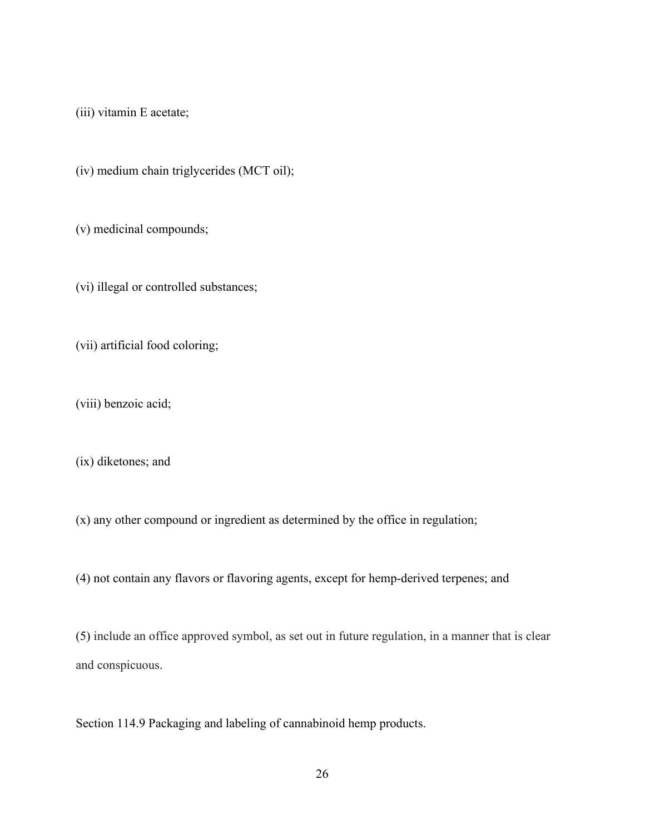(iii) vitamin E acetate;

(iv) medium chain triglycerides (MCT oil);

(v) medicinal compounds;

(vi) illegal or controlled substances;

(vii) artificial food coloring;

(viii) benzoic acid;

(ix) diketones; and

(x) any other compound or ingredient as determined by the office in regulation;

(4) not contain any flavors or flavoring agents, except for hemp-derived terpenes; and

(5) include an office approved symbol, as set out in future regulation, in a manner that is clear and conspicuous.

Section 114.9 Packaging and labeling of cannabinoid hemp products.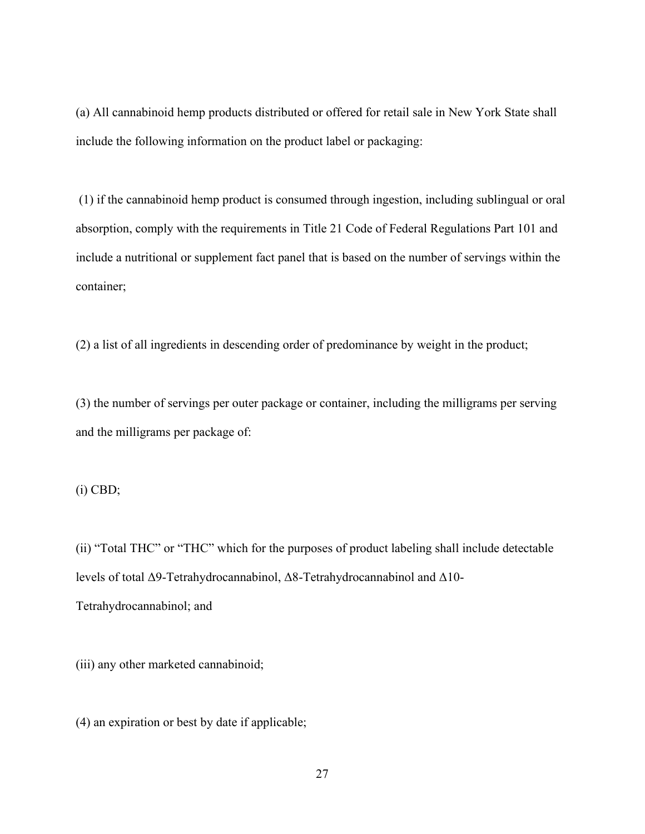(a) All cannabinoid hemp products distributed or offered for retail sale in New York State shall include the following information on the product label or packaging:

(1) if the cannabinoid hemp product is consumed through ingestion, including sublingual or oral absorption, comply with the requirements in Title 21 Code of Federal Regulations Part 101 and include a nutritional or supplement fact panel that is based on the number of servings within the container;

(2) a list of all ingredients in descending order of predominance by weight in the product;

(3) the number of servings per outer package or container, including the milligrams per serving and the milligrams per package of:

(i) CBD;

(ii) "Total THC" or "THC" which for the purposes of product labeling shall include detectable levels of total Δ9-Tetrahydrocannabinol, Δ8-Tetrahydrocannabinol and Δ10- Tetrahydrocannabinol; and

(iii) any other marketed cannabinoid;

(4) an expiration or best by date if applicable;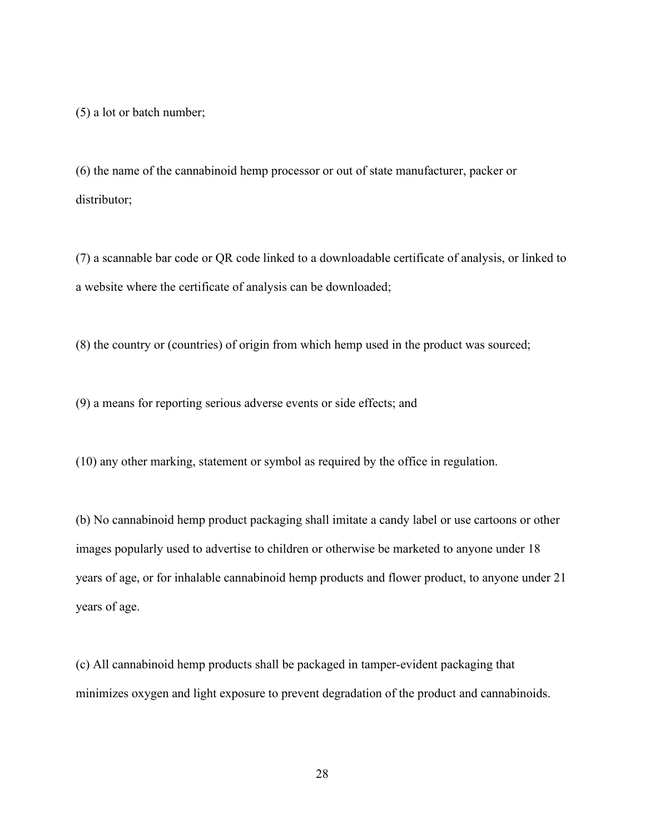(5) a lot or batch number;

(6) the name of the cannabinoid hemp processor or out of state manufacturer, packer or distributor;

(7) a scannable bar code or QR code linked to a downloadable certificate of analysis, or linked to a website where the certificate of analysis can be downloaded;

(8) the country or (countries) of origin from which hemp used in the product was sourced;

(9) a means for reporting serious adverse events or side effects; and

(10) any other marking, statement or symbol as required by the office in regulation.

(b) No cannabinoid hemp product packaging shall imitate a candy label or use cartoons or other images popularly used to advertise to children or otherwise be marketed to anyone under 18 years of age, or for inhalable cannabinoid hemp products and flower product, to anyone under 21 years of age.

(c) All cannabinoid hemp products shall be packaged in tamper-evident packaging that minimizes oxygen and light exposure to prevent degradation of the product and cannabinoids.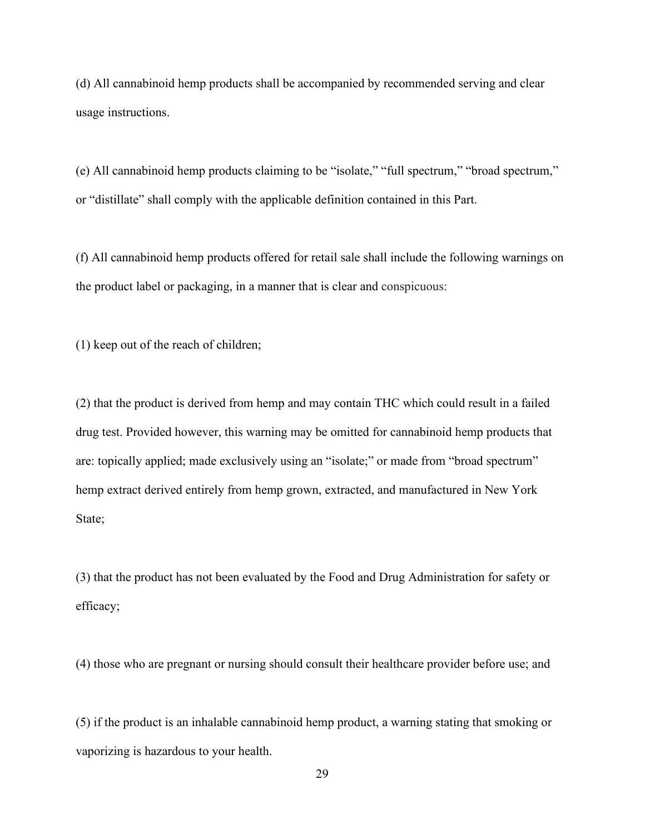(d) All cannabinoid hemp products shall be accompanied by recommended serving and clear usage instructions.

(e) All cannabinoid hemp products claiming to be "isolate," "full spectrum," "broad spectrum," or "distillate" shall comply with the applicable definition contained in this Part.

(f) All cannabinoid hemp products offered for retail sale shall include the following warnings on the product label or packaging, in a manner that is clear and conspicuous:

(1) keep out of the reach of children;

(2) that the product is derived from hemp and may contain THC which could result in a failed drug test. Provided however, this warning may be omitted for cannabinoid hemp products that are: topically applied; made exclusively using an "isolate;" or made from "broad spectrum" hemp extract derived entirely from hemp grown, extracted, and manufactured in New York State;

(3) that the product has not been evaluated by the Food and Drug Administration for safety or efficacy;

(4) those who are pregnant or nursing should consult their healthcare provider before use; and

(5) if the product is an inhalable cannabinoid hemp product, a warning stating that smoking or vaporizing is hazardous to your health.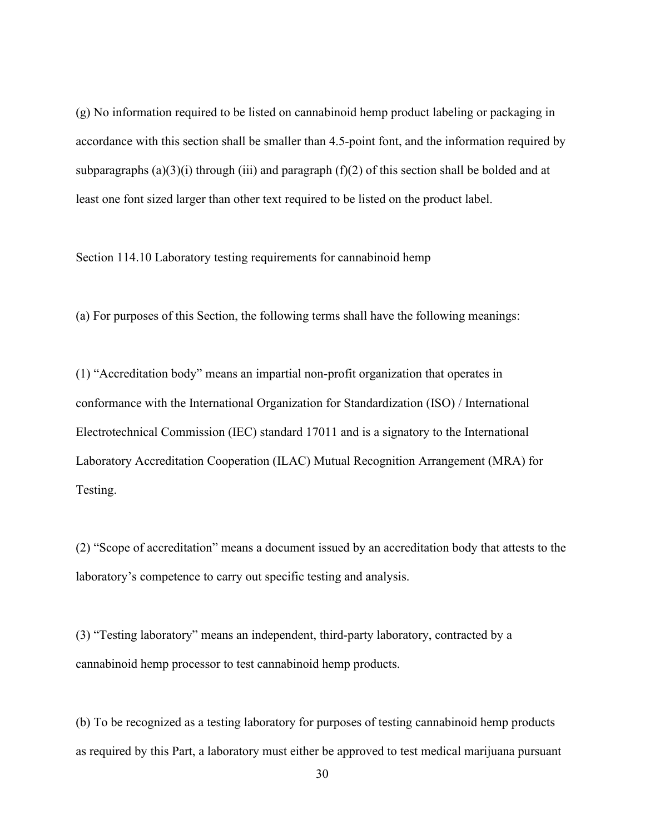(g) No information required to be listed on cannabinoid hemp product labeling or packaging in accordance with this section shall be smaller than 4.5-point font, and the information required by subparagraphs  $(a)(3)(i)$  through (iii) and paragraph  $(f)(2)$  of this section shall be bolded and at least one font sized larger than other text required to be listed on the product label.

Section 114.10 Laboratory testing requirements for cannabinoid hemp

(a) For purposes of this Section, the following terms shall have the following meanings:

(1) "Accreditation body" means an impartial non-profit organization that operates in conformance with the International Organization for Standardization (ISO) / International Electrotechnical Commission (IEC) standard 17011 and is a signatory to the International Laboratory Accreditation Cooperation (ILAC) Mutual Recognition Arrangement (MRA) for Testing.

(2) "Scope of accreditation" means a document issued by an accreditation body that attests to the laboratory's competence to carry out specific testing and analysis.

(3) "Testing laboratory" means an independent, third-party laboratory, contracted by a cannabinoid hemp processor to test cannabinoid hemp products.

(b) To be recognized as a testing laboratory for purposes of testing cannabinoid hemp products as required by this Part, a laboratory must either be approved to test medical marijuana pursuant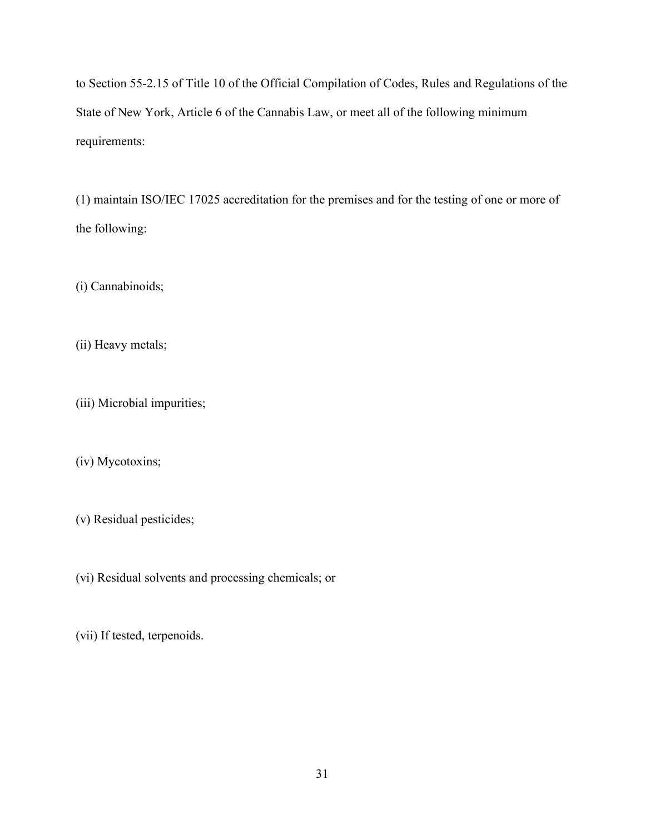to Section 55-2.15 of Title 10 of the Official Compilation of Codes, Rules and Regulations of the State of New York, Article 6 of the Cannabis Law, or meet all of the following minimum requirements:

(1) maintain ISO/IEC 17025 accreditation for the premises and for the testing of one or more of the following:

(i) Cannabinoids;

(ii) Heavy metals;

(iii) Microbial impurities;

(iv) Mycotoxins;

(v) Residual pesticides;

(vi) Residual solvents and processing chemicals; or

(vii) If tested, terpenoids.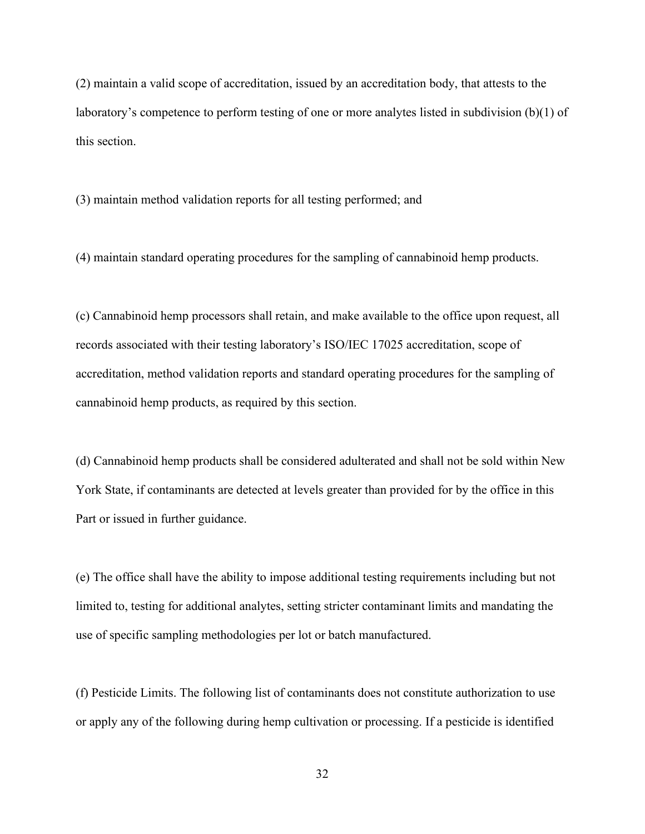(2) maintain a valid scope of accreditation, issued by an accreditation body, that attests to the laboratory's competence to perform testing of one or more analytes listed in subdivision (b)(1) of this section.

(3) maintain method validation reports for all testing performed; and

(4) maintain standard operating procedures for the sampling of cannabinoid hemp products.

(c) Cannabinoid hemp processors shall retain, and make available to the office upon request, all records associated with their testing laboratory's ISO/IEC 17025 accreditation, scope of accreditation, method validation reports and standard operating procedures for the sampling of cannabinoid hemp products, as required by this section.

(d) Cannabinoid hemp products shall be considered adulterated and shall not be sold within New York State, if contaminants are detected at levels greater than provided for by the office in this Part or issued in further guidance.

(e) The office shall have the ability to impose additional testing requirements including but not limited to, testing for additional analytes, setting stricter contaminant limits and mandating the use of specific sampling methodologies per lot or batch manufactured.

(f) Pesticide Limits. The following list of contaminants does not constitute authorization to use or apply any of the following during hemp cultivation or processing. If a pesticide is identified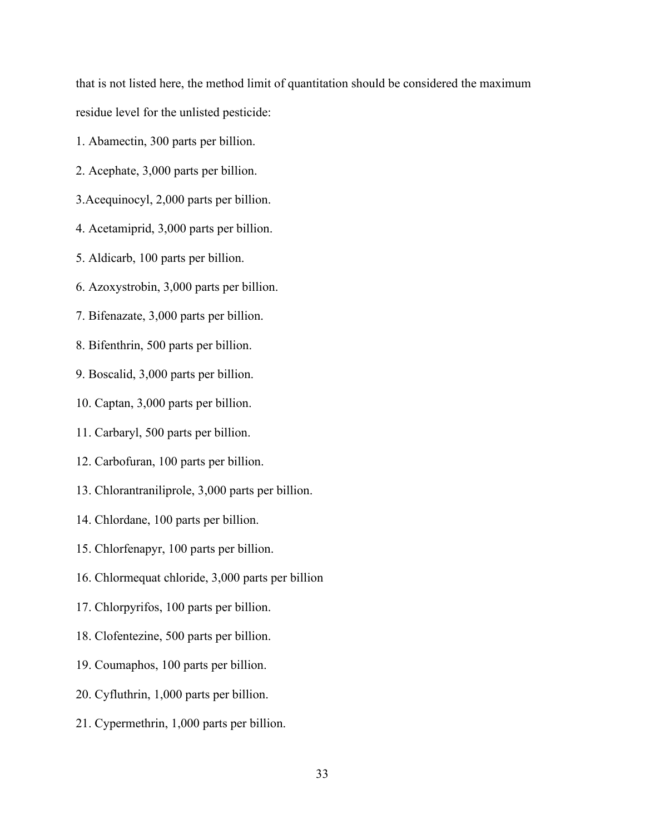that is not listed here, the method limit of quantitation should be considered the maximum residue level for the unlisted pesticide:

- 1. Abamectin, 300 parts per billion.
- 2. Acephate, 3,000 parts per billion.
- 3.Acequinocyl, 2,000 parts per billion.
- 4. Acetamiprid, 3,000 parts per billion.
- 5. Aldicarb, 100 parts per billion.
- 6. Azoxystrobin, 3,000 parts per billion.
- 7. Bifenazate, 3,000 parts per billion.
- 8. Bifenthrin, 500 parts per billion.
- 9. Boscalid, 3,000 parts per billion.
- 10. Captan, 3,000 parts per billion.
- 11. Carbaryl, 500 parts per billion.
- 12. Carbofuran, 100 parts per billion.
- 13. Chlorantraniliprole, 3,000 parts per billion.
- 14. Chlordane, 100 parts per billion.
- 15. Chlorfenapyr, 100 parts per billion.
- 16. Chlormequat chloride, 3,000 parts per billion
- 17. Chlorpyrifos, 100 parts per billion.
- 18. Clofentezine, 500 parts per billion.
- 19. Coumaphos, 100 parts per billion.
- 20. Cyfluthrin, 1,000 parts per billion.
- 21. Cypermethrin, 1,000 parts per billion.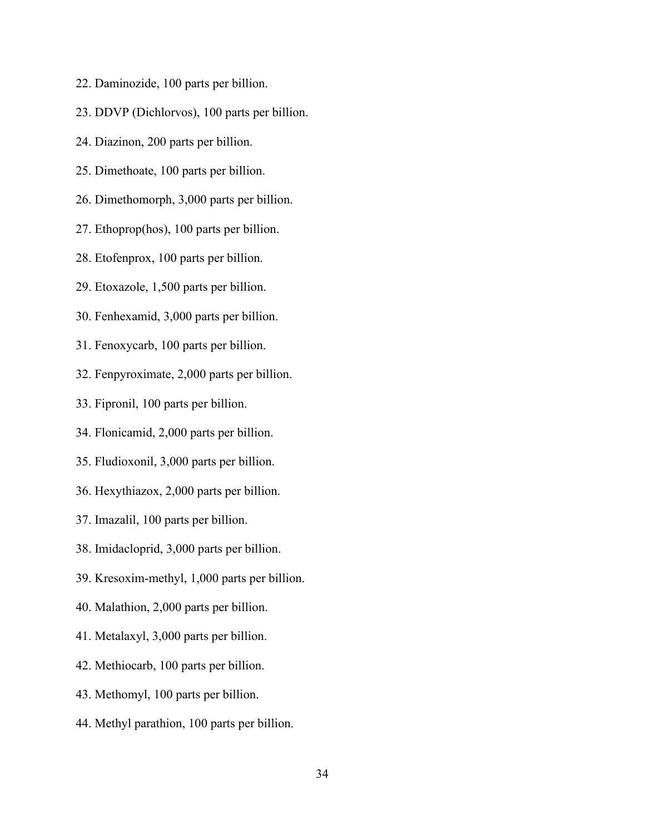- 22. Daminozide, 100 parts per billion.
- 23. DDVP (Dichlorvos), 100 parts per billion.
- 24. Diazinon, 200 parts per billion.
- 25. Dimethoate, 100 parts per billion.
- 26. Dimethomorph, 3,000 parts per billion.
- 27. Ethoprop(hos), 100 parts per billion.
- 28. Etofenprox, 100 parts per billion.
- 29. Etoxazole, 1,500 parts per billion.
- 30. Fenhexamid, 3,000 parts per billion.
- 31. Fenoxycarb, 100 parts per billion.
- 32. Fenpyroximate, 2,000 parts per billion.
- 33. Fipronil, 100 parts per billion.
- 34. Flonicamid, 2,000 parts per billion.
- 35. Fludioxonil, 3,000 parts per billion.
- 36. Hexythiazox, 2,000 parts per billion.
- 37. Imazalil, 100 parts per billion.
- 38. Imidacloprid, 3,000 parts per billion.
- 39. Kresoxim-methyl, 1,000 parts per billion.
- 40. Malathion, 2,000 parts per billion.
- 41. Metalaxyl, 3,000 parts per billion.
- 42. Methiocarb, 100 parts per billion.
- 43. Methomyl, 100 parts per billion.
- 44. Methyl parathion, 100 parts per billion.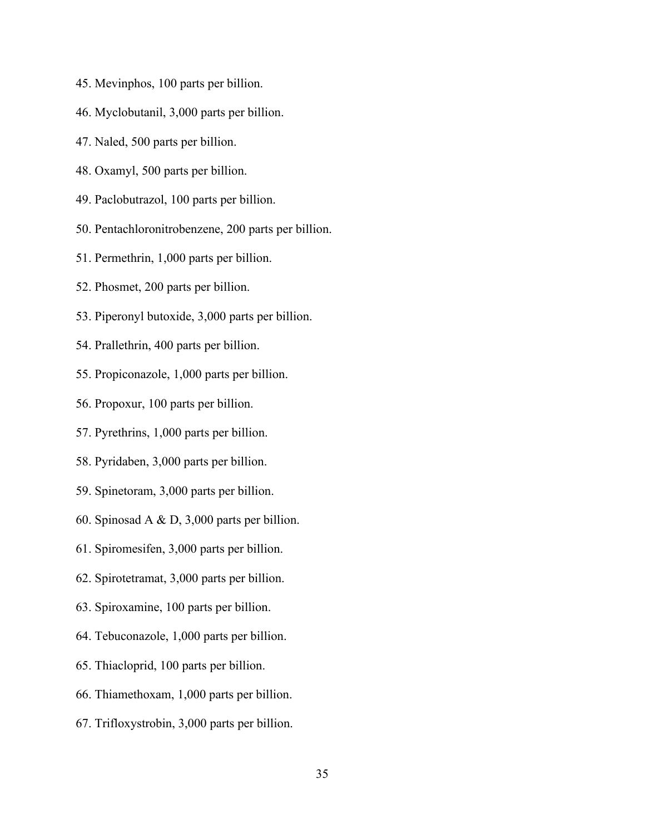- 45. Mevinphos, 100 parts per billion.
- 46. Myclobutanil, 3,000 parts per billion.
- 47. Naled, 500 parts per billion.
- 48. Oxamyl, 500 parts per billion.
- 49. Paclobutrazol, 100 parts per billion.
- 50. Pentachloronitrobenzene, 200 parts per billion.
- 51. Permethrin, 1,000 parts per billion.
- 52. Phosmet, 200 parts per billion.
- 53. Piperonyl butoxide, 3,000 parts per billion.
- 54. Prallethrin, 400 parts per billion.
- 55. Propiconazole, 1,000 parts per billion.
- 56. Propoxur, 100 parts per billion.
- 57. Pyrethrins, 1,000 parts per billion.
- 58. Pyridaben, 3,000 parts per billion.
- 59. Spinetoram, 3,000 parts per billion.
- 60. Spinosad A & D, 3,000 parts per billion.
- 61. Spiromesifen, 3,000 parts per billion.
- 62. Spirotetramat, 3,000 parts per billion.
- 63. Spiroxamine, 100 parts per billion.
- 64. Tebuconazole, 1,000 parts per billion.
- 65. Thiacloprid, 100 parts per billion.
- 66. Thiamethoxam, 1,000 parts per billion.
- 67. Trifloxystrobin, 3,000 parts per billion.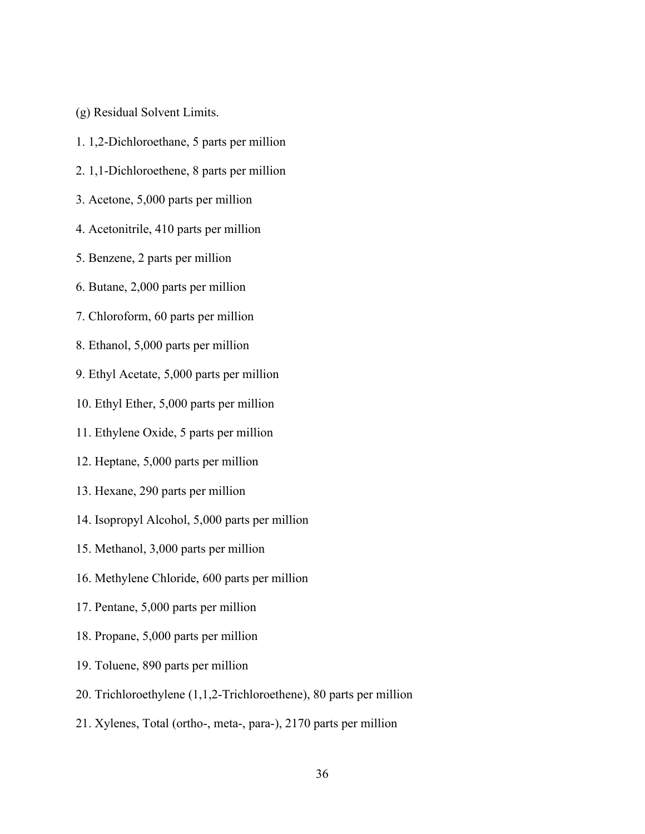- (g) Residual Solvent Limits.
- 1. 1,2-Dichloroethane, 5 parts per million
- 2. 1,1-Dichloroethene, 8 parts per million
- 3. Acetone, 5,000 parts per million
- 4. Acetonitrile, 410 parts per million
- 5. Benzene, 2 parts per million
- 6. Butane, 2,000 parts per million
- 7. Chloroform, 60 parts per million
- 8. Ethanol, 5,000 parts per million
- 9. Ethyl Acetate, 5,000 parts per million
- 10. Ethyl Ether, 5,000 parts per million
- 11. Ethylene Oxide, 5 parts per million
- 12. Heptane, 5,000 parts per million
- 13. Hexane, 290 parts per million
- 14. Isopropyl Alcohol, 5,000 parts per million
- 15. Methanol, 3,000 parts per million
- 16. Methylene Chloride, 600 parts per million
- 17. Pentane, 5,000 parts per million
- 18. Propane, 5,000 parts per million
- 19. Toluene, 890 parts per million
- 20. Trichloroethylene (1,1,2-Trichloroethene), 80 parts per million
- 21. Xylenes, Total (ortho-, meta-, para-), 2170 parts per million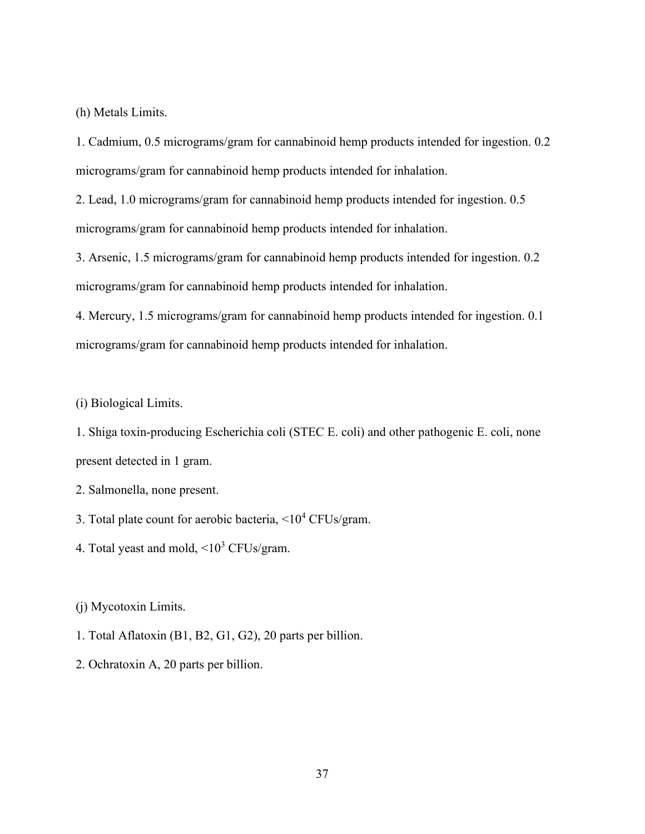(h) Metals Limits.

1. Cadmium, 0.5 micrograms/gram for cannabinoid hemp products intended for ingestion. 0.2 micrograms/gram for cannabinoid hemp products intended for inhalation.

2. Lead, 1.0 micrograms/gram for cannabinoid hemp products intended for ingestion. 0.5 micrograms/gram for cannabinoid hemp products intended for inhalation.

3. Arsenic, 1.5 micrograms/gram for cannabinoid hemp products intended for ingestion. 0.2 micrograms/gram for cannabinoid hemp products intended for inhalation.

4. Mercury, 1.5 micrograms/gram for cannabinoid hemp products intended for ingestion. 0.1 micrograms/gram for cannabinoid hemp products intended for inhalation.

(i) Biological Limits.

1. Shiga toxin-producing Escherichia coli (STEC E. coli) and other pathogenic E. coli, none present detected in 1 gram.

- 2. Salmonella, none present.
- 3. Total plate count for aerobic bacteria, <104 CFUs/gram.
- 4. Total yeast and mold,  $\langle 10^3 \text{ CFUs/gram.} \rangle$

(j) Mycotoxin Limits.

- 1. Total Aflatoxin (B1, B2, G1, G2), 20 parts per billion.
- 2. Ochratoxin A, 20 parts per billion.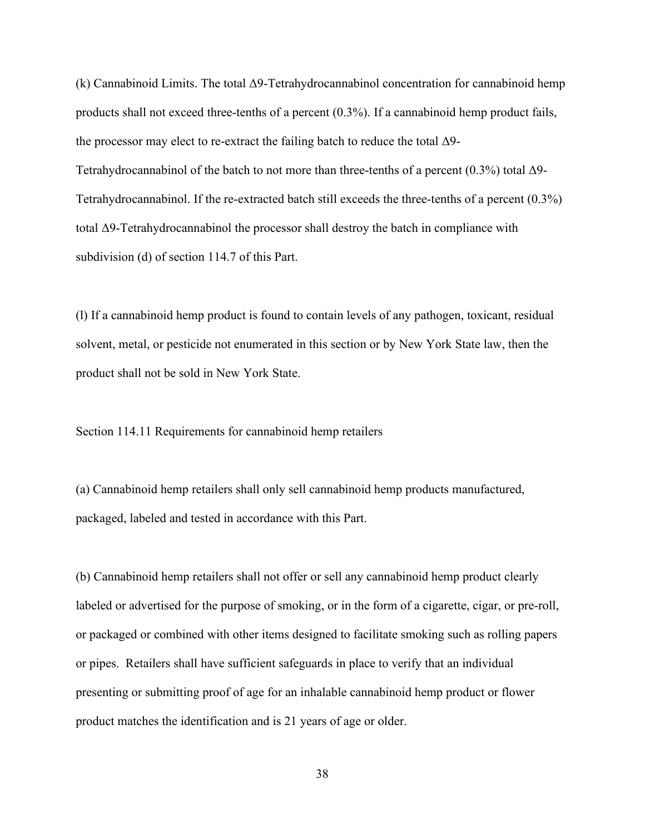(k) Cannabinoid Limits. The total Δ9-Tetrahydrocannabinol concentration for cannabinoid hemp products shall not exceed three-tenths of a percent (0.3%). If a cannabinoid hemp product fails, the processor may elect to re-extract the failing batch to reduce the total  $\Delta$ 9-Tetrahydrocannabinol of the batch to not more than three-tenths of a percent  $(0.3\%)$  total  $\Delta$ 9-Tetrahydrocannabinol. If the re-extracted batch still exceeds the three-tenths of a percent (0.3%) total Δ9-Tetrahydrocannabinol the processor shall destroy the batch in compliance with subdivision (d) of section 114.7 of this Part.

(l) If a cannabinoid hemp product is found to contain levels of any pathogen, toxicant, residual solvent, metal, or pesticide not enumerated in this section or by New York State law, then the product shall not be sold in New York State.

Section 114.11 Requirements for cannabinoid hemp retailers

(a) Cannabinoid hemp retailers shall only sell cannabinoid hemp products manufactured, packaged, labeled and tested in accordance with this Part.

(b) Cannabinoid hemp retailers shall not offer or sell any cannabinoid hemp product clearly labeled or advertised for the purpose of smoking, or in the form of a cigarette, cigar, or pre-roll, or packaged or combined with other items designed to facilitate smoking such as rolling papers or pipes. Retailers shall have sufficient safeguards in place to verify that an individual presenting or submitting proof of age for an inhalable cannabinoid hemp product or flower product matches the identification and is 21 years of age or older.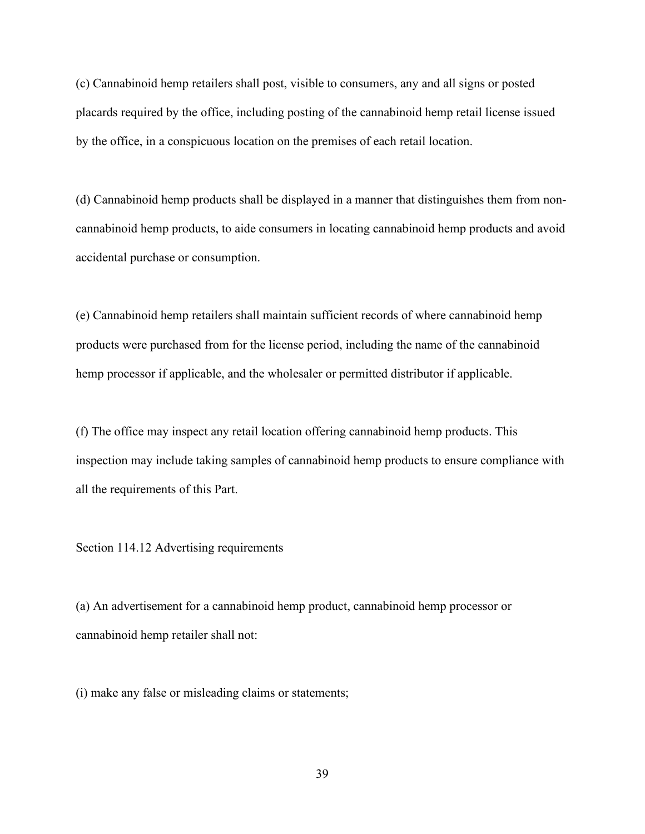(c) Cannabinoid hemp retailers shall post, visible to consumers, any and all signs or posted placards required by the office, including posting of the cannabinoid hemp retail license issued by the office, in a conspicuous location on the premises of each retail location.

(d) Cannabinoid hemp products shall be displayed in a manner that distinguishes them from noncannabinoid hemp products, to aide consumers in locating cannabinoid hemp products and avoid accidental purchase or consumption.

(e) Cannabinoid hemp retailers shall maintain sufficient records of where cannabinoid hemp products were purchased from for the license period, including the name of the cannabinoid hemp processor if applicable, and the wholesaler or permitted distributor if applicable.

(f) The office may inspect any retail location offering cannabinoid hemp products. This inspection may include taking samples of cannabinoid hemp products to ensure compliance with all the requirements of this Part.

Section 114.12 Advertising requirements

(a) An advertisement for a cannabinoid hemp product, cannabinoid hemp processor or cannabinoid hemp retailer shall not:

(i) make any false or misleading claims or statements;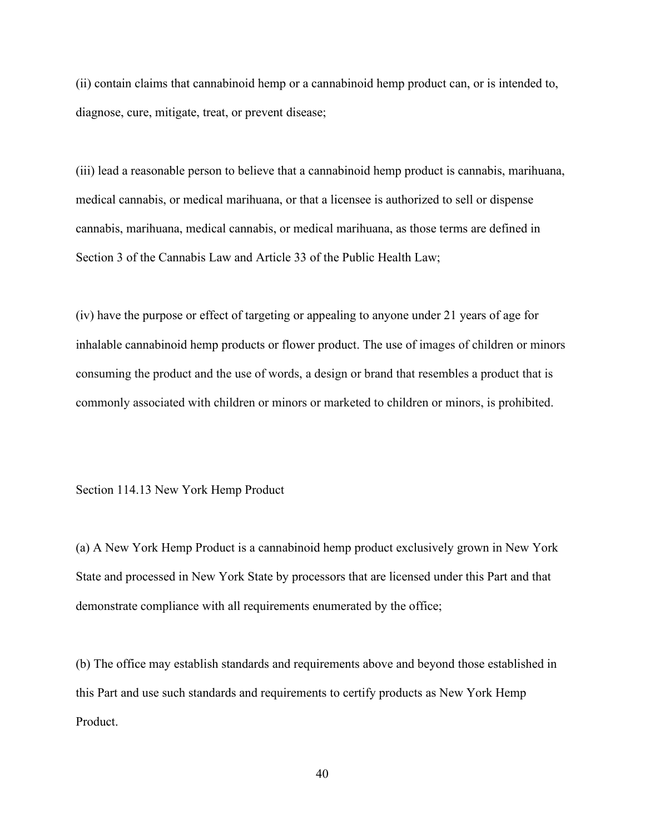(ii) contain claims that cannabinoid hemp or a cannabinoid hemp product can, or is intended to, diagnose, cure, mitigate, treat, or prevent disease;

(iii) lead a reasonable person to believe that a cannabinoid hemp product is cannabis, marihuana, medical cannabis, or medical marihuana, or that a licensee is authorized to sell or dispense cannabis, marihuana, medical cannabis, or medical marihuana, as those terms are defined in Section 3 of the Cannabis Law and Article 33 of the Public Health Law;

(iv) have the purpose or effect of targeting or appealing to anyone under 21 years of age for inhalable cannabinoid hemp products or flower product. The use of images of children or minors consuming the product and the use of words, a design or brand that resembles a product that is commonly associated with children or minors or marketed to children or minors, is prohibited.

Section 114.13 New York Hemp Product

(a) A New York Hemp Product is a cannabinoid hemp product exclusively grown in New York State and processed in New York State by processors that are licensed under this Part and that demonstrate compliance with all requirements enumerated by the office;

(b) The office may establish standards and requirements above and beyond those established in this Part and use such standards and requirements to certify products as New York Hemp Product.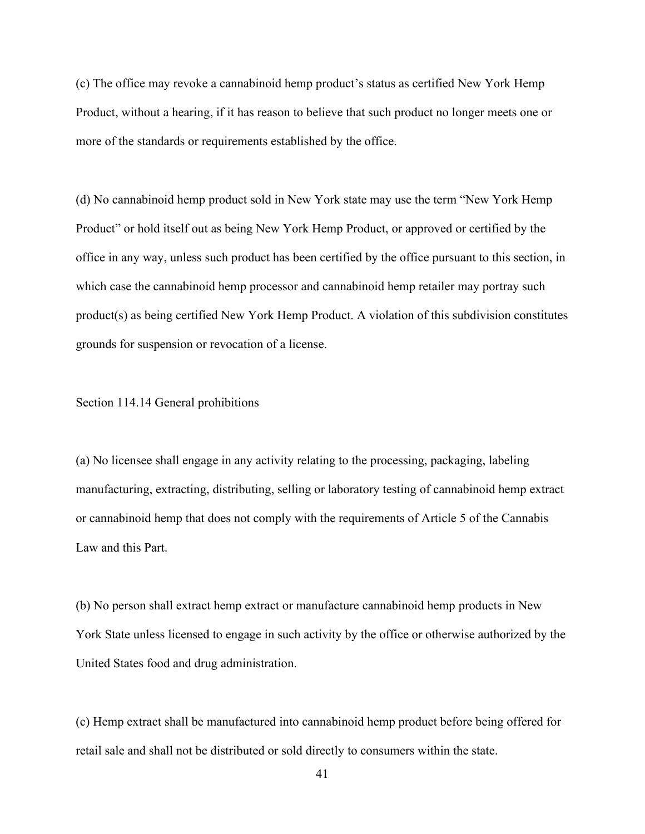(c) The office may revoke a cannabinoid hemp product's status as certified New York Hemp Product, without a hearing, if it has reason to believe that such product no longer meets one or more of the standards or requirements established by the office.

(d) No cannabinoid hemp product sold in New York state may use the term "New York Hemp Product" or hold itself out as being New York Hemp Product, or approved or certified by the office in any way, unless such product has been certified by the office pursuant to this section, in which case the cannabinoid hemp processor and cannabinoid hemp retailer may portray such product(s) as being certified New York Hemp Product. A violation of this subdivision constitutes grounds for suspension or revocation of a license.

Section 114.14 General prohibitions

(a) No licensee shall engage in any activity relating to the processing, packaging, labeling manufacturing, extracting, distributing, selling or laboratory testing of cannabinoid hemp extract or cannabinoid hemp that does not comply with the requirements of Article 5 of the Cannabis Law and this Part.

(b) No person shall extract hemp extract or manufacture cannabinoid hemp products in New York State unless licensed to engage in such activity by the office or otherwise authorized by the United States food and drug administration.

(c) Hemp extract shall be manufactured into cannabinoid hemp product before being offered for retail sale and shall not be distributed or sold directly to consumers within the state.

41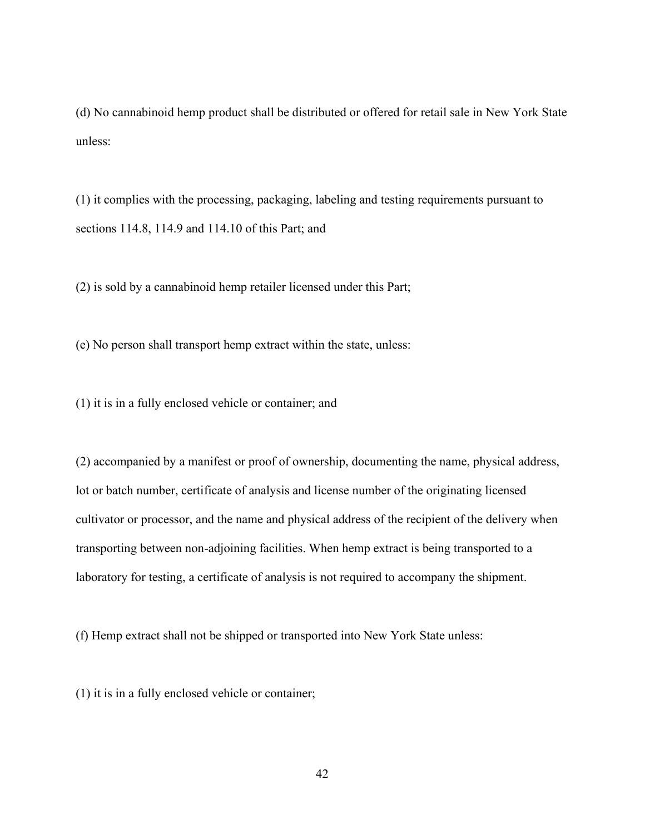(d) No cannabinoid hemp product shall be distributed or offered for retail sale in New York State unless:

(1) it complies with the processing, packaging, labeling and testing requirements pursuant to sections 114.8, 114.9 and 114.10 of this Part; and

(2) is sold by a cannabinoid hemp retailer licensed under this Part;

(e) No person shall transport hemp extract within the state, unless:

(1) it is in a fully enclosed vehicle or container; and

(2) accompanied by a manifest or proof of ownership, documenting the name, physical address, lot or batch number, certificate of analysis and license number of the originating licensed cultivator or processor, and the name and physical address of the recipient of the delivery when transporting between non-adjoining facilities. When hemp extract is being transported to a laboratory for testing, a certificate of analysis is not required to accompany the shipment.

(f) Hemp extract shall not be shipped or transported into New York State unless:

(1) it is in a fully enclosed vehicle or container;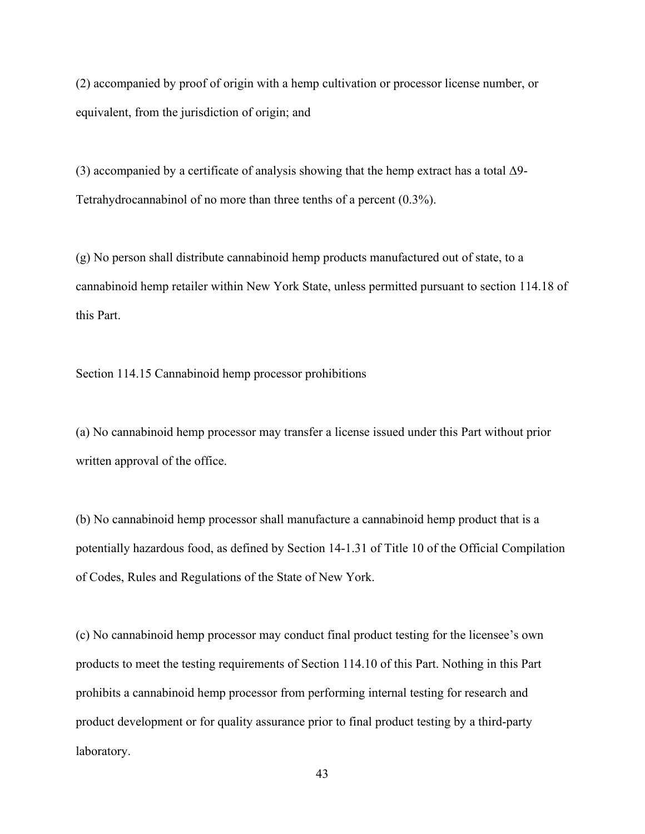(2) accompanied by proof of origin with a hemp cultivation or processor license number, or equivalent, from the jurisdiction of origin; and

(3) accompanied by a certificate of analysis showing that the hemp extract has a total Δ9- Tetrahydrocannabinol of no more than three tenths of a percent (0.3%).

(g) No person shall distribute cannabinoid hemp products manufactured out of state, to a cannabinoid hemp retailer within New York State, unless permitted pursuant to section 114.18 of this Part.

Section 114.15 Cannabinoid hemp processor prohibitions

(a) No cannabinoid hemp processor may transfer a license issued under this Part without prior written approval of the office.

(b) No cannabinoid hemp processor shall manufacture a cannabinoid hemp product that is a potentially hazardous food, as defined by Section 14-1.31 of Title 10 of the Official Compilation of Codes, Rules and Regulations of the State of New York.

(c) No cannabinoid hemp processor may conduct final product testing for the licensee's own products to meet the testing requirements of Section 114.10 of this Part. Nothing in this Part prohibits a cannabinoid hemp processor from performing internal testing for research and product development or for quality assurance prior to final product testing by a third-party laboratory.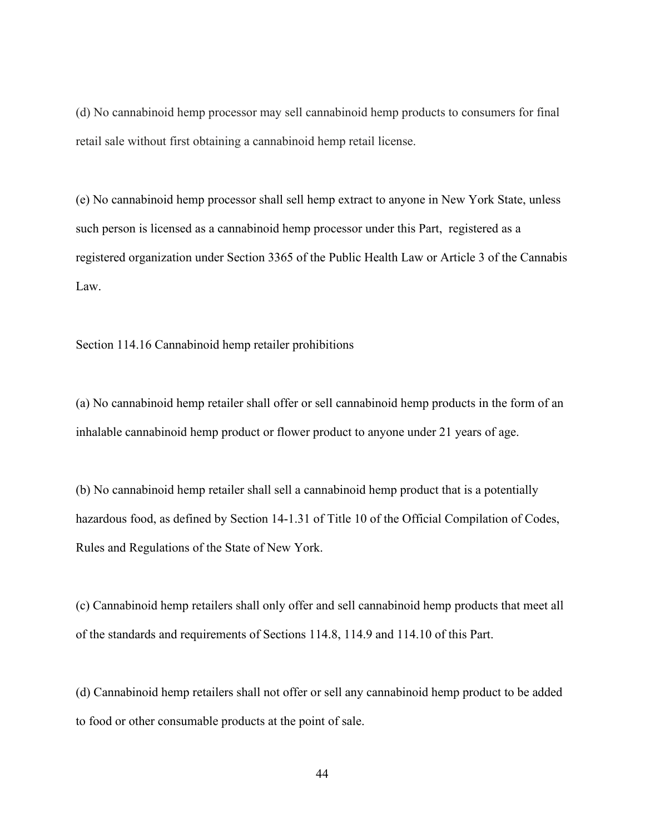(d) No cannabinoid hemp processor may sell cannabinoid hemp products to consumers for final retail sale without first obtaining a cannabinoid hemp retail license.

(e) No cannabinoid hemp processor shall sell hemp extract to anyone in New York State, unless such person is licensed as a cannabinoid hemp processor under this Part, registered as a registered organization under Section 3365 of the Public Health Law or Article 3 of the Cannabis Law.

Section 114.16 Cannabinoid hemp retailer prohibitions

(a) No cannabinoid hemp retailer shall offer or sell cannabinoid hemp products in the form of an inhalable cannabinoid hemp product or flower product to anyone under 21 years of age.

(b) No cannabinoid hemp retailer shall sell a cannabinoid hemp product that is a potentially hazardous food, as defined by Section 14-1.31 of Title 10 of the Official Compilation of Codes, Rules and Regulations of the State of New York.

(c) Cannabinoid hemp retailers shall only offer and sell cannabinoid hemp products that meet all of the standards and requirements of Sections 114.8, 114.9 and 114.10 of this Part.

(d) Cannabinoid hemp retailers shall not offer or sell any cannabinoid hemp product to be added to food or other consumable products at the point of sale.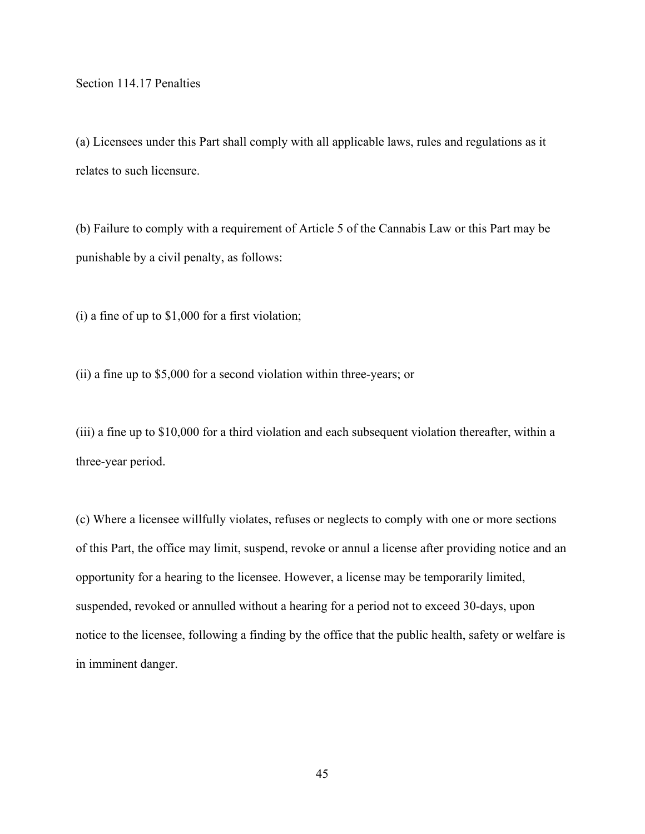Section 114.17 Penalties

(a) Licensees under this Part shall comply with all applicable laws, rules and regulations as it relates to such licensure.

(b) Failure to comply with a requirement of Article 5 of the Cannabis Law or this Part may be punishable by a civil penalty, as follows:

(i) a fine of up to \$1,000 for a first violation;

(ii) a fine up to \$5,000 for a second violation within three-years; or

(iii) a fine up to \$10,000 for a third violation and each subsequent violation thereafter, within a three-year period.

(c) Where a licensee willfully violates, refuses or neglects to comply with one or more sections of this Part, the office may limit, suspend, revoke or annul a license after providing notice and an opportunity for a hearing to the licensee. However, a license may be temporarily limited, suspended, revoked or annulled without a hearing for a period not to exceed 30-days, upon notice to the licensee, following a finding by the office that the public health, safety or welfare is in imminent danger.

45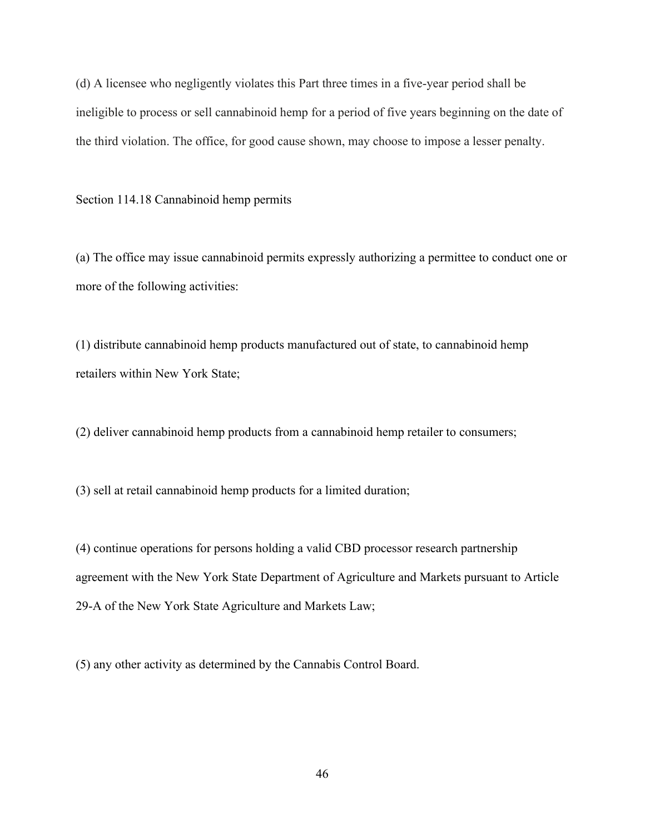(d) A licensee who negligently violates this Part three times in a five-year period shall be ineligible to process or sell cannabinoid hemp for a period of five years beginning on the date of the third violation. The office, for good cause shown, may choose to impose a lesser penalty.

Section 114.18 Cannabinoid hemp permits

(a) The office may issue cannabinoid permits expressly authorizing a permittee to conduct one or more of the following activities:

(1) distribute cannabinoid hemp products manufactured out of state, to cannabinoid hemp retailers within New York State;

(2) deliver cannabinoid hemp products from a cannabinoid hemp retailer to consumers;

(3) sell at retail cannabinoid hemp products for a limited duration;

(4) continue operations for persons holding a valid CBD processor research partnership agreement with the New York State Department of Agriculture and Markets pursuant to Article 29-A of the New York State Agriculture and Markets Law;

(5) any other activity as determined by the Cannabis Control Board.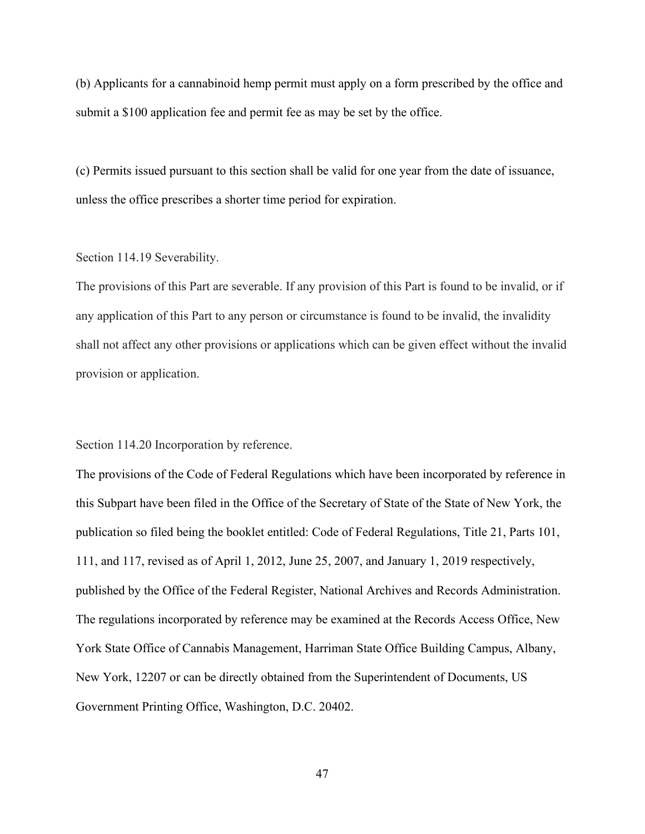(b) Applicants for a cannabinoid hemp permit must apply on a form prescribed by the office and submit a \$100 application fee and permit fee as may be set by the office.

(c) Permits issued pursuant to this section shall be valid for one year from the date of issuance, unless the office prescribes a shorter time period for expiration.

## Section 114.19 Severability.

The provisions of this Part are severable. If any provision of this Part is found to be invalid, or if any application of this Part to any person or circumstance is found to be invalid, the invalidity shall not affect any other provisions or applications which can be given effect without the invalid provision or application.

Section 114.20 Incorporation by reference.

The provisions of the Code of Federal Regulations which have been incorporated by reference in this Subpart have been filed in the Office of the Secretary of State of the State of New York, the publication so filed being the booklet entitled: Code of Federal Regulations, Title 21, Parts 101, 111, and 117, revised as of April 1, 2012, June 25, 2007, and January 1, 2019 respectively, published by the Office of the Federal Register, National Archives and Records Administration. The regulations incorporated by reference may be examined at the Records Access Office, New York State Office of Cannabis Management, Harriman State Office Building Campus, Albany, New York, 12207 or can be directly obtained from the Superintendent of Documents, US Government Printing Office, Washington, D.C. 20402.